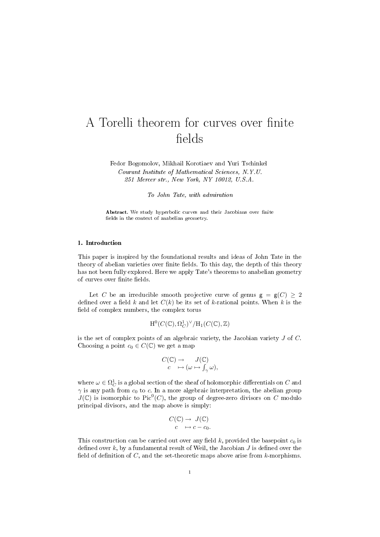# A Torelli theorem for curves over finite fields

Fedor Bogomolov, Mikhail Korotiaev and Yuri Tschinkel Courant Institute of Mathematical Sciences, N.Y.U. 251 Mercer str., New York, NY 10012, U.S.A.

To John Tate, with admiration

Abstract. We study hyperbolic curves and their Jacobians over finite fields in the context of anabelian geometry.

## 1. Introduction

This paper is inspired by the foundational results and ideas of John Tate in the theory of abelian varieties over finite fields. To this day, the depth of this theory has not been fully explored. Here we apply Tate's theorems to anabelian geometry of curves over finite fields.

Let C be an irreducible smooth projective curve of genus  $g = g(C) \geq 2$ defined over a field k and let  $C(k)$  be its set of k-rational points. When k is the field of complex numbers, the complex torus

$$
\mathrm{H}^0(C(\mathbb{C}),\Omega_C^1)^\vee/\mathrm{H}_1(C(\mathbb{C}),\mathbb{Z})
$$

is the set of complex points of an algebraic variety, the Jacobian variety  $J$  of  $C$ . Choosing a point  $c_0 \in C(\mathbb{C})$  we get a map

$$
C(\mathbb{C}) \to J(\mathbb{C})
$$
  

$$
c \mapsto (\omega \mapsto \int_{\gamma} \omega),
$$

where  $\omega \in \Omega^1_C$  is a global section of the sheaf of holomorphic differentials on  $C$  and  $\gamma$  is any path from  $c_0$  to c. In a more algebraic interpretation, the abelian group  $J(\mathbb{C})$  is isomorphic to Pic<sup>0</sup>(C), the group of degree-zero divisors on C modulo principal divisors, and the map above is simply:

$$
C(\mathbb{C}) \to J(\mathbb{C})
$$

$$
c \mapsto c - c_0.
$$

This construction can be carried out over any field k, provided the basepoint  $c_0$  is defined over k, by a fundamental result of Weil, the Jacobian  $J$  is defined over the field of definition of  $C$ , and the set-theoretic maps above arise from  $k$ -morphisms.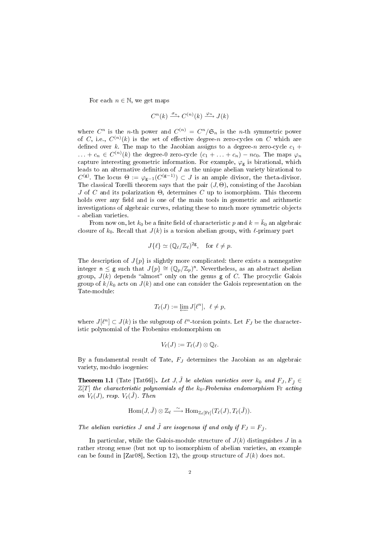For each  $n \in \mathbb{N}$ , we get maps

$$
C^n(k) \xrightarrow{\sigma_n} C^{(n)}(k) \xrightarrow{\varphi_n} J(k)
$$

where  $C^n$  is the *n*-th power and  $C^{(n)} = C^n / \mathfrak{S}_n$  is the *n*-th symmetric power of C, i.e.,  $C^{(n)}(k)$  is the set of effective degree-n zero-cycles on C which are defined over k. The map to the Jacobian assigns to a degree-n zero-cycle  $c_1$  +  $\dots + c_n \in C^{(n)}(k)$  the degree-0 zero-cycle  $(c_1 + \dots + c_n) - nc_0$ . The maps  $\varphi_n$ capture interesting geometric information. For example,  $\varphi_{\mathbf{g}}$  is birational, which leads to an alternative definition of  $J$  as the unique abelian variety birational to  $C^{(\mathsf{g})}$ . The locus  $\Theta := \varphi_{\mathsf{g}-1}(C^{(\mathsf{g}-1)}) \subset J$  is an ample divisor, the theta-divisor. The classical Torelli theorem says that the pair  $(J, \Theta)$ , consisting of the Jacobian  $J$  of  $C$  and its polarization  $\Theta$ , determines  $C$  up to isomorphism. This theorem holds over any field and is one of the main tools in geometric and arithmetic investigations of algebraic curves, relating these to much more symmetric objects - abelian varieties.

From now on, let  $k_0$  be a finite field of characteristic p and  $k = \bar{k}_0$  an algebraic closure of  $k_0$ . Recall that  $J(k)$  is a torsion abelian group, with  $\ell$ -primary part

$$
J\{\ell\} \simeq (\mathbb{Q}_{\ell}/\mathbb{Z}_{\ell})^{2g}, \quad \text{for } \ell \neq p.
$$

The description of  $J\{p\}$  is slightly more complicated: there exists a nonnegative integer  $n \leq g$  such that  $J\{p\} \cong (\mathbb{Q}_p/\mathbb{Z}_p)^n$ . Nevertheless, as an abstract abelian group,  $J(k)$  depends "almost" only on the genus g of C. The procyclic Galois group of  $k/k_0$  acts on  $J(k)$  and one can consider the Galois representation on the Tate-module:

$$
T_\ell(J):=\varprojlim J[\ell^n],\ \ell\neq p,
$$

where  $J[\ell^n] \subset J(k)$  is the subgroup of  $\ell^n$ -torsion points. Let  $F_J$  be the characteristic polynomial of the Frobenius endomorphism on

$$
V_{\ell}(J):=T_{\ell}(J)\otimes \mathbb{Q}_{\ell}.
$$

By a fundamental result of Tate,  $F_J$  determines the Jacobian as an algebraic variety, modulo isogenies:

**Theorem 1.1** (Tate [Tat66]). Let J,  $\tilde{J}$  be abelian varieties over  $k_0$  and  $F_J, F_{\tilde{J}} \in$  $\mathbb{Z}[T]$  the characteristic polynomials of the  $k_0$ -Frobenius endomorphism Fr acting on  $V_{\ell}(J)$ , resp.  $V_{\ell}(\tilde{J})$ . Then

$$
\operatorname{Hom}(J,\tilde{J}) \otimes \mathbb{Z}_{\ell} \stackrel{\sim}{\longrightarrow} \operatorname{Hom}_{\mathbb{Z}_{\ell}[\operatorname{Fr}]}(T_{\ell}(J), T_{\ell}(\tilde{J})).
$$

The abelian varieties J and  $\tilde{J}$  are isogenous if and only if  $F_J = F_{\tilde{J}}$ .

In particular, while the Galois-module structure of  $J(k)$  distinguishes J in a rather strong sense (but not up to isomorphism of abelian varieties, an example can be found in [Zar08], Section 12), the group structure of  $J(k)$  does not.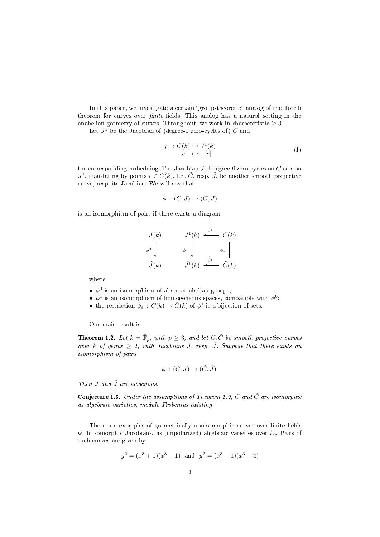In this paper, we investigate a certain "group-theoretic" analog of the Torelli theorem for curves over *finite* fields. This analog has a natural setting in the anabelian geometry of curves. Throughout, we work in characteristic  $\geq 3$ .

Let  $J^1$  be the Jacobian of (degree-1 zero-cycles of) C and

$$
\begin{array}{rcl}\nj_1 : C(k) \hookrightarrow J^1(k) \\
c & \mapsto & [c]\n\end{array} \tag{1}
$$

the corresponding embedding. The Jacobian  $J$  of degree-0 zero-cycles on  $C$  acts on  $J^1$ , translating by points  $c \in C(k)$ . Let  $\tilde{C}$ , resp.  $\tilde{J}$ , be another smooth projective curve, resp. its Jacobian. We will say that

$$
\phi:(C,J)\to(\tilde{C},\tilde{J})
$$

is an isomorphism of pairs if there exists a diagram

$$
J(k) \qquad J^{1}(k) \stackrel{j_{1}}{\longleftarrow} C(k)
$$

$$
\phi^{0} \downarrow \qquad \phi^{1} \downarrow \qquad \phi_{s} \downarrow \qquad \tilde{J}(k) \stackrel{\tilde{j}_{1}}{\longleftarrow} \tilde{C}(k)
$$

where

- $\bullet$   $\phi^0$  is an isomorphism of abstract abelian groups;
- $\phi^1$  is an isomorphism of homogeneous spaces, compatible with  $\phi^0$ ;
- the restriction  $\phi_s : C(k) \to \tilde{C}(k)$  of  $\phi^1$  is a bijection of sets.

Our main result is:

**Theorem 1.2.** Let  $k = \overline{\mathbb{F}}_p$ , with  $p \geq 3$ , and let  $C, \tilde{C}$  be smooth projective curves over k of genus  $\geq 2$ , with Jacobians J, resp.  $\tilde{J}$ . Suppose that there exists an isomorphism of pairs

$$
\phi\,:\,(C,J)\rightarrow (\tilde{C},\tilde{J}).
$$

Then  $J$  and  $\tilde{J}$  are isogenous.

**Conjecture 1.3.** Under the assumptions of Theorem 1.2, C and  $\tilde{C}$  are isomorphic as algebraic varieties, modulo Frobenius twisting.

There are examples of geometrically nonisomorphic curves over finite fields with isomorphic Jacobians, as (unpolarized) algebraic varieties over  $k_0$ . Pairs of such curves are given by

$$
y^2 = (x^3 + 1)(x^3 - 1)
$$
 and  $y^2 = (x^3 - 1)(x^3 - 4)$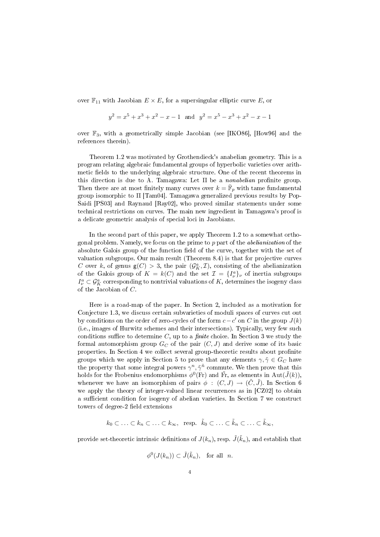over  $\mathbb{F}_{11}$  with Jacobian  $E \times E$ , for a supersingular elliptic curve E, or

$$
y^{2} = x^{5} + x^{3} + x^{2} - x - 1
$$
 and  $y^{2} = x^{5} - x^{3} + x^{2} - x - 1$ 

over  $\mathbb{F}_3$ , with a geometrically simple Jacobian (see [IKO86], [How96] and the references therein).

Theorem 1.2 was motivated by Grothendieck's anabelian geometry. This is a program relating algebraic fundamental groups of hyperbolic varieties over arithmetic fields to the underlying algebraic structure. One of the recent theorems in this direction is due to A. Tamagawa: Let  $\Pi$  be a *nonabelian* profinite group. Then there are at most finitely many curves over  $k = \bar{\mathbb{F}}_p$  with tame fundamental group isomorphic to Π [Tam04]. Tamagawa generalized previous results by Pop-Saidi [PS03] and Raynaud [Ray02], who proved similar statements under some technical restrictions on curves. The main new ingredient in Tamagawa's proof is a delicate geometric analysis of special loci in Jacobians.

In the second part of this paper, we apply Theorem 1.2 to a somewhat orthogonal problem. Namely, we focus on the prime to  $p$  part of the *abelianization* of the absolute Galois group of the function field of the curve, together with the set of valuation subgroups. Our main result (Theorem 8.4) is that for projective curves C over k, of genus  $g(C) > 3$ , the pair  $(\mathcal{G}_{K}^{a}, \mathcal{I})$ , consisting of the abelianization of the Galois group of  $K = k(C)$  and the set  $\mathcal{I} = \{I^a_\nu\}_\nu$  of inertia subgroups  $I_{\nu}^a\subset \mathcal{G}_K^a$  corresponding to nontrivial valuations of  $K,$  determines the isogeny class of the Jacobian of C.

Here is a road-map of the paper. In Section 2, included as a motivation for Conjecture 1.3, we discuss certain subvarieties of moduli spaces of curves cut out by conditions on the order of zero-cycles of the form  $c-c'$  on C in the group  $J(k)$ (i.e., images of Hurwitz schemes and their intersections). Typically, very few such conditions suffice to determine  $C$ , up to a *finite* choice. In Section 3 we study the formal automorphism group  $G_C$  of the pair  $(C, J)$  and derive some of its basic properties. In Section 4 we collect several group-theoretic results about profinite groups which we apply in Section 5 to prove that any elements  $\gamma, \tilde{\gamma} \in G_C$  have the property that some integral powers  $\gamma^n, \tilde{\gamma}^{\tilde{n}}$  commute. We then prove that this holds for the Frobenius endomorphisms  $\phi^0(\text{Fr})$  and  $\tilde{\text{Fr}},$  as elements in  $\text{Aut}(\tilde{J}(k)),$ whenever we have an isomorphism of pairs  $\phi : (C, J) \rightarrow (\tilde{C}, \tilde{J})$ . In Section 6 we apply the theory of integer-valued linear recurrences as in [CZ02] to obtain a sufficient condition for isogeny of abelian varieties. In Section 7 we construct towers of degree-2 field extensions

$$
k_0 \subset \ldots \subset k_n \subset \ldots \subset k_\infty, \text{ resp. } \tilde{k}_0 \subset \ldots \subset \tilde{k}_n \subset \ldots \subset \tilde{k}_\infty,
$$

provide set-theoretic intrinsic definitions of  $J(k_n),$  resp.  $\tilde{J}(\tilde{k}_n),$  and establish that

$$
\phi^0(J(k_n)) \subset \tilde{J}(\tilde{k}_n), \text{ for all } n.
$$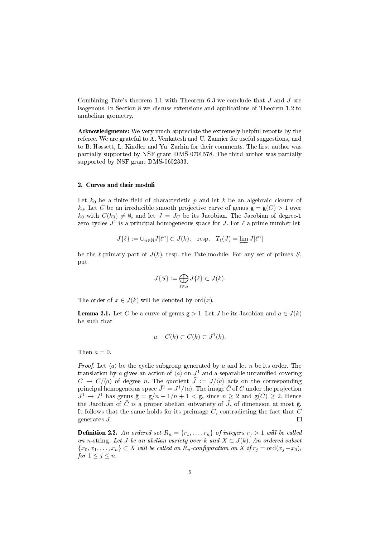Combining Tate's theorem 1.1 with Theorem 6.3 we conclude that J and  $\tilde{J}$  are isogenous. In Section 8 we discuss extensions and applications of Theorem 1.2 to anabelian geometry.

Acknowledgments: We very much appreciate the extremely helpful reports by the referee. We are grateful to A. Venkatesh and U. Zannier for useful suggestions, and to B. Hassett, L. Kindler and Yu. Zarhin for their comments. The first author was partially supported by NSF grant DMS-0701578. The third author was partially supported by NSF grant DMS-0602333.

# 2. Curves and their moduli

Let  $k_0$  be a finite field of characteristic p and let k be an algebraic closure of  $k_0$ . Let C be an irreducible smooth projective curve of genus  $g = g(C) > 1$  over  $k_0$  with  $C(k_0) \neq \emptyset$ , and let  $J = J_C$  be its Jacobian. The Jacobian of degree-1 zero-cycles  $J^1$  is a principal homogeneous space for  $J$ . For  $\ell$  a prime number let

$$
J\{\ell\} := \cup_{n \in \mathbb{N}} J[\ell^n] \subset J(k), \quad \text{resp.} \quad T_\ell(J) = \varprojlim J[\ell^n]
$$

be the  $\ell$ -primary part of  $J(k)$ , resp. the Tate-module. For any set of primes S, put

$$
J\{S\} := \bigoplus_{\ell \in S} J\{\ell\} \subset J(k).
$$

The order of  $x \in J(k)$  will be denoted by  $\text{ord}(x)$ .

**Lemma 2.1.** Let C be a curve of genus  $g > 1$ . Let J be its Jacobian and  $a \in J(k)$ be such that

$$
a + C(k) \subset C(k) \subset J^1(k).
$$

Then  $a=0$ .

*Proof.* Let  $\langle a \rangle$  be the cyclic subgroup generated by a and let n be its order. The translation by a gives an action of  $\langle a \rangle$  on  $J^1$  and a separable unramified covering  $C \to C/\langle a \rangle$  of degree n. The quotient  $\overline{J} := J/\langle a \rangle$  acts on the corresponding principal homogeneous space  $\bar{J}^1 = J^1/\langle a \rangle$ . The image  $\bar{C}$  of  $C$  under the projection  $J^1 \to \bar{J}^1$  has genus  $\bar{\mathbf{g}} = \mathbf{g}/n - 1/n + 1 < \mathbf{g}$ , since  $n \geq 2$  and  $\mathbf{g}(C) \geq 2$ . Hence the Jacobian of  $\overline{C}$  is a proper abelian subvariety of  $\overline{J}$ , of dimension at most  $\overline{g}$ . It follows that the same holds for its preimage  $C$ , contradicting the fact that  $C$ generates J.  $\Box$ 

**Definition 2.2.** An ordered set  $R_n = \{r_1, \ldots, r_n\}$  of integers  $r_i > 1$  will be called an n-string. Let J be an abelian variety over k and  $X \subset J(k)$ . An ordered subset  ${x_0, x_1, \ldots, x_n} \subset X$  will be called an  $R_n$ -configuration on X if  $r_j = \text{ord}(x_j - x_0)$ , for  $1 \leq j \leq n$ .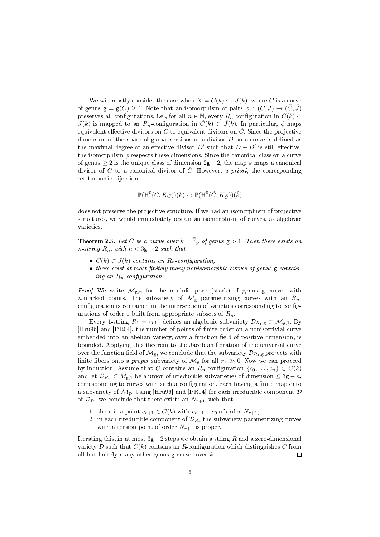We will mostly consider the case when  $X = C(k) \hookrightarrow J(k)$ , where C is a curve of genus  $g = g(C) \ge 1$ . Note that an isomorphism of pairs  $\phi : (C, J) \to (\tilde{C}, \tilde{J})$ preserves all configurations, i.e., for all  $n \in \mathbb{N}$ , every  $R_n$ -configuration in  $C(k)$  $J(k)$  is mapped to an  $R_n$ -configuration in  $\tilde{C}(k) \subset \tilde{J}(k)$ . In particular,  $\phi$  maps equivalent effective divisors on C to equivalent divisors on  $\tilde{C}$ . Since the projective dimension of the space of global sections of a divisor  $D$  on a curve is defined as the maximal degree of an effective divisor  $D'$  such that  $D - D'$  is still effective, the isomorphism  $\phi$  respects these dimensions. Since the canonical class on a curve of genus  $\geq 2$  is the unique class of dimension  $2g - 2$ , the map  $\phi$  maps a canonical divisor of C to a canonical divisor of  $\tilde{C}$ . However, a priori, the corresponding set-theoretic bijection

$$
\mathbb{P}(\mathrm{H}^0(C, K_C))(k) \hookrightarrow \mathbb{P}(\mathrm{H}^0(\tilde{C}, K_{\tilde{C}}))(\tilde{k})
$$

does not preserve the projective structure. If we had an isomorphism of projective structures, we would immediately obtain an isomorphism of curves, as algebraic varieties.

**Theorem 2.3.** Let C be a curve over  $k = \overline{\mathbb{F}}_p$  of genus  $g > 1$ . Then there exists an n-string  $R_n$ , with  $n < 3g - 2$  such that

- $C(k) \subset J(k)$  contains an  $R_n$ -configuration,
- $\bullet$  there exist at most finitely many nonisomorphic curves of genus  $g$  containing an  $R_n$ -configuration.

*Proof.* We write  $\mathcal{M}_{g,n}$  for the moduli space (stack) of genus g curves with n-marked points. The subvariety of  $\mathcal{M}_{g}$  parametrizing curves with an  $R_n$ configuration is contained in the intersection of varieties corresponding to configurations of order 1 built from appropriate subsets of  $R_n$ .

Every 1-string  $R_1 = \{r_1\}$  defines an algebraic subvariety  $\mathcal{D}_{R_1,g} \subset \mathcal{M}_{g,1}$ . By [Hru96] and [PR04], the number of points of finite order on a nonisotrivial curve embedded into an abelian variety, over a function field of positive dimension, is bounded. Applying this theorem to the Jacobian fibration of the universal curve over the function field of  $\mathcal{M}_{g}$ , we conclude that the subvariety  $\mathcal{D}_{R_1,g}$  projects with finite fibers onto a *proper* subvariety of  $\mathcal{M}_{g}$  for all  $r_1 \gg 0$ . Now we can proceed by induction. Assume that C contains an  $R_n$ -configuration  $\{c_0, \ldots, c_n\} \subset C(k)$ and let  $\mathcal{D}_{R_n} \subset M_{g,1}$  be a union of irreducible subvarieties of dimension  $\leq 3g - n$ , corresponding to curves with such a configuration, each having a finite map onto a subvariety of  $\mathcal{M}_{g}$ . Using [Hru96] and [PR04] for each irreducible component  $\mathcal{D}$ of  $\mathcal{D}_{R_r}$  we conclude that there exists an  $N_{r+1}$  such that:

- 1. there is a point  $c_{r+1} \in C(k)$  with  $c_{r+1} c_0$  of order  $N_{r+1}$ ,
- 2. in each irreducible component of  $\mathcal{D}_{R_r}$  the subvariety parametrizing curves with a torsion point of order  $N_{r+1}$  is proper.

Iterating this, in at most  $3g-2$  steps we obtain a string R and a zero-dimensional variety D such that  $C(k)$  contains an R-configuration which distinguishes C from all but finitely many other genus  $g$  curves over  $k$ .  $\Box$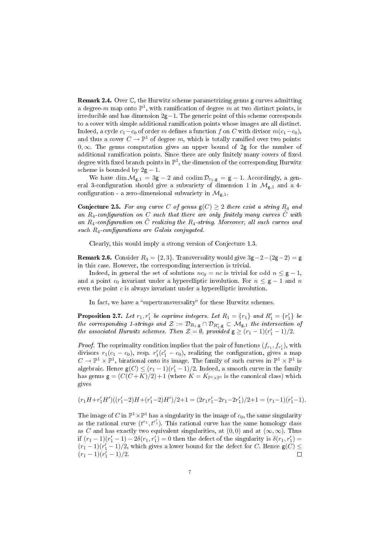Remark 2.4. Over C, the Hurwitz scheme parametrizing genus g curves admitting a degree-m map onto  $\mathbb{P}^1$ , with ramification of degree m at two distinct points, is irreducible and has dimension  $2g-1$ . The generic point of this scheme corresponds to a cover with simple additional ramification points whose images are all distinct. Indeed, a cycle  $c_1 - c_0$  of order m defines a function f on C with divisor  $m(c_1-c_0)$ , and thus a cover  $C \to \mathbb{P}^1$  of degree m, which is totally ramified over two points: 0, $\infty$ . The genus computation gives an upper bound of 2g for the number of additional ramification points. Since there are only finitely many covers of fixed degree with fixed branch points in  $\mathbb{P}^1$ , the dimension of the corresponding Hurwitz scheme is bounded by  $2g - 1$ .

We have dim  $\mathcal{M}_{g,1} = 3g - 2$  and codim  $\mathcal{D}_{r_1,g} = g - 1$ . Accordingly, a general 3-configuration should give a subvariety of dimension 1 in  $\mathcal{M}_{g,1}$  and a 4configuration - a zero-dimensional subvariety in  $\mathcal{M}_{g,1}$ .

Conjecture 2.5. For any curve C of genus  $g(C) \ge 2$  there exist a string  $R_4$  and an  $R_4$ -configuration on  $C$  such that there are only finitely many curves  $\tilde{C}$  with an  $R_4$ -configuration on  $\tilde{C}$  realizing the  $R_4$ -string. Moreover, all such curves and such  $R_4$ -configurations are Galois conjugated.

Clearly, this would imply a strong version of Conjecture 1.3.

**Remark 2.6.** Consider  $R_3 = \{2, 3\}$ . Transversality would give  $3\mathsf{g} - 2 - (2\mathsf{g} - 2) = \mathsf{g}$ in this case. However, the corresponding intersection is trivial.

Indeed, in general the set of solutions  $nc_0 = nc$  is trivial for odd  $n \leq g - 1$ , and a point  $c_0$  invariant under a hyperelliptic involution. For  $n \leq g - 1$  and n even the point  $c$  is always invariant under a hyperelliptic involution.

In fact, we have a "supertransversality" for these Hurwitz schemes.

**Proposition 2.7.** Let  $r_1, r'_1$  be coprime integers. Let  $R_1 = \{r_1\}$  and  $R'_1 = \{r'_1\}$  be the corresponding 1-strings and  $\mathcal{Z}:=\mathcal{D}_{R_1,\mathsf{g}}\cap\mathcal{D}_{R_1',\mathsf{g}}\subset\mathcal{M}_{\mathsf{g},1}$  the intersection of the associated Hurwitz schemes. Then  $\mathcal{Z} = \emptyset$ , provided  $g \ge (r_1 - 1)(r_1' - 1)/2$ .

*Proof.* The coprimality condition implies that the pair of functions  $(f_{r_1}, f_{r'_1})$ , with divisors  $r_1(c_1 - c_0)$ , resp.  $r'_1(c'_1 - c_0)$ , realizing the configuration, gives a map  $C \to \mathbb{P}^1 \times \mathbb{P}^1$ , birational onto its image. The family of such curves in  $\mathbb{P}^1 \times \mathbb{P}^1$  is algebraic. Hence  $g(C) \le (r_1 - 1)(r'_1 - 1)/2$ . Indeed, a smooth curve in the family has genus  $g = (C(C+K)/2)+1$  (where  $K = K_{\mathbb{P}^1 \times \mathbb{P}^1}$  is the canonical class) which gives

$$
(r_1H+r_1'H')((r_1'-2)H+(r_1'-2)H')/2+1=(2r_1r_1'-2r_1-2r_1')/2+1=(r_1-1)(r_1'-1).
$$

The image of C in  $\mathbb{P}^1 \times \mathbb{P}^1$  has a singularity in the image of  $c_0$ , the same singularity as the rational curve  $(t^{r_1}, t^{r'_1})$ . This rational curve has the same homology class as C and has exactly two equivalent singularities, at  $(0, 0)$  and at  $(\infty, \infty)$ . Thus if  $(r_1 - 1)(r'_1 - 1) - 2δ(r_1, r'_1) = 0$  then the defect of the singularity is  $δ(r_1, r'_1) =$  $(r_1-1)(r'_1-1)/2$ , which gives a lower bound for the defect for C. Hence  $\mathsf{g}(C) \leq$  $(r_1-1)(r'_1-1)/2$ .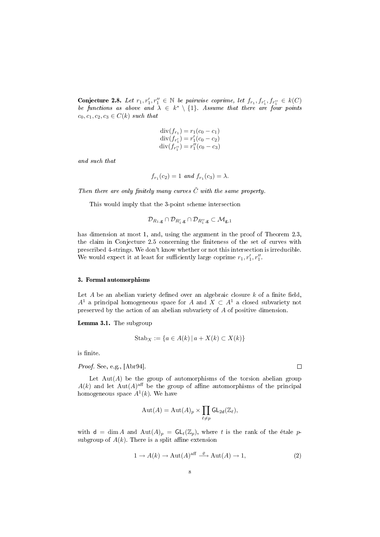Conjecture 2.8. Let  $r_1, r'_1, r''_1 \in \mathbb{N}$  be pairwise coprime, let  $f_{r_1}, f_{r'_1}, f_{r''_1} \in k(C)$ be functions as above and  $\lambda \in k^* \setminus \{1\}$ . Assume that there are four points  $c_0, c_1, c_2, c_3 \in C(k)$  such that

$$
div(f_{r_1}) = r_1(c_0 - c_1)
$$
  
\n
$$
div(f_{r'_1}) = r'_1(c_0 - c_2)
$$
  
\n
$$
div(f_{r''_1}) = r''_1(c_0 - c_3)
$$

and such that

$$
f_{r_1}(c_2) = 1
$$
 and  $f_{r_1}(c_3) = \lambda$ .

Then there are only finitely many curves  $\tilde{C}$  with the same property.

This would imply that the 3-point scheme intersection

$$
\mathcal{D}_{R_1,\mathsf{g}}\cap\mathcal{D}_{R_1',\mathsf{g}}\cap\mathcal{D}_{R_1'',\mathsf{g}}\subset\mathcal{M}_{\mathsf{g},1}
$$

has dimension at most 1, and, using the argument in the proof of Theorem 2.3. the claim in Conjecture 2.5 concerning the finiteness of the set of curves with prescribed 4-strings. We don't know whether or not this intersection is irreducible. We would expect it at least for sufficiently large coprime  $r_1, r'_1, r''_1$ .

#### 3. Formal automorphisms

Let  $A$  be an abelian variety defined over an algebraic closure  $k$  of a finite field,  $A^1$  a principal homogeneous space for A and  $X \subset A^1$  a closed subvariety not preserved by the action of an abelian subvariety of A of positive dimension.

Lemma 3.1. The subgroup

$$
Stab_X := \{ a \in A(k) \mid a + X(k) \subset X(k) \}
$$

is finite.

Proof. See, e.g., [Abr94].

Let  $Aut(A)$  be the group of automorphisms of the torsion abelian group  $A(k)$  and let  $\text{Aut}(A)$ <sup>aff</sup> be the group of affine automorphisms of the principal homogeneous space  $A^1(k)$ . We have

$$
\operatorname{Aut}(A) = \operatorname{Aut}(A)_p \times \prod_{\ell \neq p} \operatorname{GL}_{2\mathsf{d}}(\mathbb{Z}_\ell),
$$

with  $d = \dim A$  and  $Aut(A)_p = GL_t(\mathbb{Z}_p)$ , where t is the rank of the étale psubgroup of  $A(k)$ . There is a split affine extension

$$
1 \to A(k) \to \text{Aut}(A)^{\text{aff}} \xrightarrow{\varrho} \text{Aut}(A) \to 1,\tag{2}
$$

 $\Box$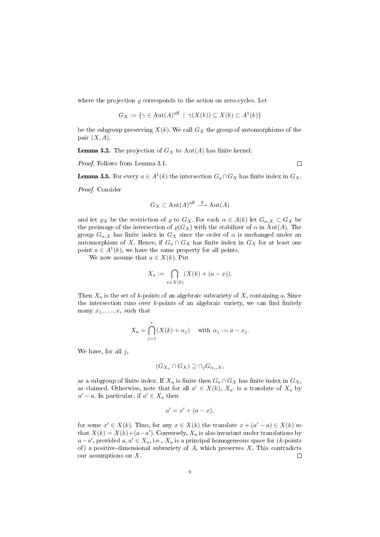where the projection  $\varrho$  corresponds to the action on zero-cycles. Let

$$
G_X := \{ \gamma \in \text{Aut}(A)^{\text{aff}} \mid \gamma(X(k)) \subseteq X(k) \subset A^1(k) \}
$$

be the subgroup preserving  $X(k)$ . We call  $G_X$  the group of automorphisms of the pair  $(X, A)$ .

**Lemma 3.2.** The projection of  $G_X$  to  $Aut(A)$  has finite kernel.

Proof. Follows from Lemma 3.1.

 $\Box$ 

**Lemma 3.3.** For every  $a \in A^1(k)$  the intersection  $G_a \cap G_X$  has finite index in  $G_X$ .

Proof. Consider

$$
G_X \subset \text{Aut}(A)^{\text{aff}} \xrightarrow{\varrho} \text{Aut}(A)
$$

and let  $\varrho_X$  be the restriction of  $\varrho$  to  $G_X$ . For each  $\alpha \in A(k)$  let  $G_{\alpha,X} \subset G_X$  be the preimage of the intersection of  $\varrho(G_X)$  with the stabilizer of  $\alpha$  in Aut(A). The group  $G_{\alpha,X}$  has finite index in  $G_X$  since the order of  $\alpha$  is unchanged under an automorphism of X. Hence, if  $G_a \cap G_X$  has finite index in  $G_X$  for at least one point  $a \in A^1(k)$ , we have the same property for all points.

We now assume that  $a \in X(k)$ . Put

$$
X_a := \bigcap_{x \in X(k)} (X(k) + (a - x)).
$$

Then  $X_a$  is the set of k-points of an algebraic subvariety of X, containing a. Since the intersection runs over  $k$ -points of an algebraic variety, we can find finitely many  $x_1, \ldots, x_r$  such that

$$
X_a = \bigcap_{j=1}^r (X(k) + \alpha_j) \quad \text{with } \alpha_j := a - x_j.
$$

We have, for all  $j$ ,

$$
(G_{X_a} \cap G_X) \supseteq \cap_j G_{\alpha_j, X},
$$

as a subgroup of finite index. If  $X_a$  is finite then  $G_a \cap G_X$  has finite index in  $G_X$ , as claimed. Otherwise, note that for all  $a' \in X(k)$ ,  $X_{a'}$  is a translate of  $X_a$  by  $a' - a$ . In particular, if  $a' \in X_a$  then

$$
a' = x' + (a - x),
$$

for some  $x' \in X(k)$ . Thus, for any  $x \in X(k)$  the translate  $x + (a' - a) \in X(k)$  so that  $X(k) = X(k) + (a - a')$ . Conversely,  $X_a$  is also invariant under translations by  $a-a'$ , provided  $a, a' \in X_a$ , i.e.,  $X_a$  is a principal homogeneous space for (k-points of) a positive-dimensional subvariety of  $A$ , which preserves  $X$ . This contradicts our assumptions on X.  $\Box$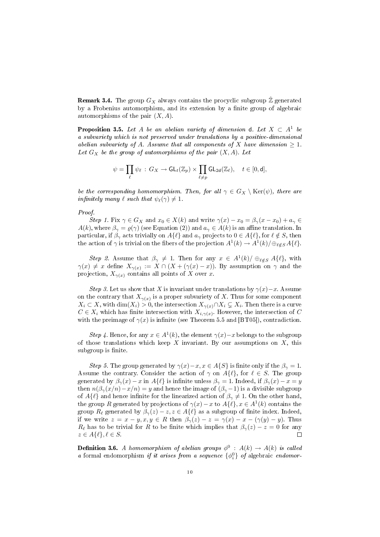**Remark 3.4.** The group  $G_X$  always contains the procyclic subgroup  $\hat{\mathbb{Z}}$  generated by a Frobenius automorphism, and its extension by a finite group of algebraic automorphisms of the pair  $(X, A)$ .

**Proposition 3.5.** Let A be an abelian variety of dimension d. Let  $X \subset A^1$  be a subvariety which is not preserved under translations by a positive-dimensional abelian subvariety of A. Assume that all components of X have dimension  $\geq 1$ . Let  $G_X$  be the group of automorphisms of the pair  $(X, A)$ . Let

$$
\psi = \prod_{\ell} \psi_{\ell} \,:\, G_X \to \mathsf{GL}_t(\mathbb{Z}_p) \times \prod_{\ell \neq p} \mathsf{GL}_{2\mathsf{d}}(\mathbb{Z}_\ell), \quad t \in [0,\mathsf{d}],
$$

be the corresponding homomorphism. Then, for all  $\gamma \in G_X \setminus \text{Ker}(\psi)$ , there are infinitely many  $\ell$  such that  $\psi_{\ell}(\gamma) \neq 1$ .

#### Proof.

Step 1. Fix  $\gamma \in G_X$  and  $x_0 \in X(k)$  and write  $\gamma(x) - x_0 = \beta_{\gamma}(x - x_0) + a_{\gamma} \in$  $A(k)$ , where  $\beta_{\gamma} = \varrho(\gamma)$  (see Equation (2)) and  $a_{\gamma} \in A(k)$  is an affine translation. In particular, if  $\beta_{\gamma}$  acts trivially on  $A\{\ell\}$  and  $a_{\gamma}$  projects to  $0 \in A\{\ell\}$ , for  $\ell \notin S$ , then the action of  $\gamma$  is trivial on the fibers of the projection  $A^1(k) \to A^1(k)/\bigoplus_{\ell \notin S} A\{\ell\}.$ 

Step 2. Assume that  $\beta_{\gamma} \neq 1$ . Then for any  $x \in A^1(k) / \bigoplus_{\ell \notin S} A\{\ell\}$ , with  $\gamma(x) \neq x$  define  $X_{\gamma(x)} := X \cap (X + (\gamma(x) - x))$ . By assumption on  $\gamma$  and the projection,  $X_{\gamma(x)}$  contains all points of X over x.

Step 3. Let us show that X is invariant under translations by  $\gamma(x)-x$ . Assume on the contrary that  $X_{\gamma(x)}$  is a proper subvariety of X. Thus for some component  $X_i \subset X$ , with  $\dim(X_i) > 0$ , the intersection  $X_{\gamma(x)} \cap X_i \subsetneq X_i$ . Then there is a curve  $C \in X_i$  which has finite intersection with  $X_{i,\gamma(x)}$ . However, the intersection of C with the preimage of  $\gamma(x)$  is infinite (see Theorem 5.5 and [BT05]), contradiction.

Step 4. Hence, for any  $x \in A^1(k)$ , the element  $\gamma(x) - x$  belongs to the subgroup of those translations which keep  $X$  invariant. By our assumptions on  $X$ , this subgroup is finite.

Step 5. The group generated by  $\gamma(x)-x, x \in A\{S\}$  is finite only if the  $\beta_{\gamma}=1$ . Assume the contrary. Consider the action of  $\gamma$  on  $A\{\ell\}$ , for  $\ell \in S$ . The group generated by  $\beta_{\gamma}(x) - x$  in  $A\{\ell\}$  is infinite unless  $\beta_{\gamma} = 1$ . Indeed, if  $\beta_{\gamma}(x) - x = y$ then  $n(\beta_{\gamma}(x/n)-x/n) = y$  and hence the image of  $(\beta_{\gamma}-1)$  is a divisible subgroup of  $A\{\ell\}$  and hence infinite for the linearized action of  $\beta_{\gamma} \neq 1$ . On the other hand, the group R generated by projections of  $\gamma(x) - x$  to  $A\{\ell\}, x \in A^1(k)$  contains the group  $R_\ell$  generated by  $\beta_\gamma(z) - z, z \in A\{\ell\}$  as a subgroup of finite index. Indeed, if we write  $z = x - y, x, y \in R$  then  $\beta_{\gamma}(z) - z = \gamma(x) - x - (\gamma(y) - y)$ . Thus  $R_\ell$  has to be trivial for R to be finite which implies that  $\beta_\gamma(z) - z = 0$  for any  $z \in A\{\ell\}, \ell \in S.$  $\Box$ 

**Definition 3.6.** A homomorphism of abelian groups  $\phi^0$  :  $A(k) \rightarrow A(k)$  is called a formal endomorphism if it arises from a sequence  $\{\phi_i^0\}$  of algebraic endomor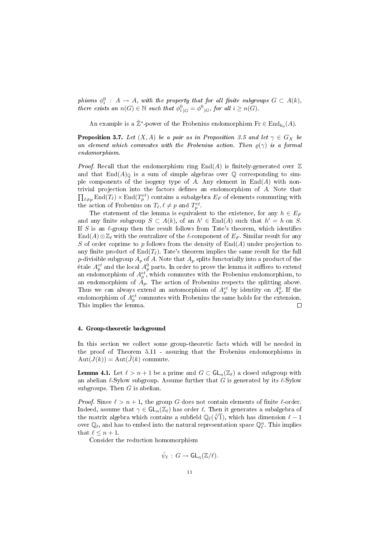phisms  $\phi_i^0$ :  $A \rightarrow A$ , with the property that for all finite subgroups  $G \subset A(k)$ , there exists an  $n(G) \in \mathbb{N}$  such that  $\phi_{i|G}^0 = \phi_{i|G}^0$ , for all  $i \geq n(G)$ .

An example is a  $\hat{\mathbb{Z}}^*$ -power of the Frobenius endomorphism  $Fr \in \text{End}_{k_0}(A)$ .

**Proposition 3.7.** Let  $(X, A)$  be a pair as in Proposition 3.5 and let  $\gamma \in G_X$  be an element which commutes with the Frobenius action. Then  $\rho(\gamma)$  is a formal endomorphism.

*Proof.* Recall that the endomorphism ring  $\text{End}(A)$  is finitely-generated over  $\mathbb{Z}$ and that  $\text{End}(A)_{\mathbb{Q}}$  is a sum of simple algebras over  $\mathbb Q$  corresponding to simple components of the isogeny type of A. Any element in  $\text{End}(A)$  with non- $\prod_{\ell \neq p} \text{End}(T_{\ell}) \times \text{End}(T_p^{et})$  contains a subalgebra  $E_F$  of elements commuting with trivial projection into the factors denes an endomorphism of A. Note that the action of Frobenius on  $T_{\ell}, \ell \neq p$  and  $T_p^{et}$ .

The statement of the lemma is equivalent to the existence, for any  $h \in E_F$ and any finite subgroup  $S \subset A(k)$ , of an  $h' \in End(A)$  such that  $h' = h$  on S. If S is an  $\ell$ -group then the result follows from Tate's theorem, which identifies  $\text{End}(A)\otimes\mathbb{Z}_\ell$  with the centralizer of the  $\ell$ -component of  $E_F$ . Similar result for any S of order coprime to p follows from the density of  $\text{End}(A)$  under projection to any finite product of  $\text{End}(T_\ell)$ . Tate's theorem implies the same result for the full p-divisible subgroup  $A_p$  of A. Note that  $A_p$  splits functorially into a product of the étale  $A^{et}_p$  and the local  $A^0_p$  parts. In order to prove the lemma it suffices to extend an endomorphism of  $A^{et}_{p}$ , which commutes with the Frobenius endomorphism, to an endomorphism of  $A_p$ . The action of Frobenius respects the splitting above. Thus we can always extend an automorphism of  $A_p^{et}$  by identity on  $A_p^0$ . If the endomorphism of  $A_p^{et}$  commutes with Frobenius the same holds for the extension. This implies the lemma.  $\Box$ 

#### 4. Group-theoretic background

In this section we collect some group-theoretic facts which will be needed in the proof of Theorem 5.11 - assuring that the Frobenius endomorphisms in  $Aut(J(k)) = Aut(\tilde{J}(k))$  commute.

**Lemma 4.1.** Let  $\ell > n + 1$  be a prime and  $G \subset GL_n(\mathbb{Z}_\ell)$  a closed subgroup with an abelian  $\ell$ -Sylow subgroup. Assume further that G is generated by its  $\ell$ -Sylow subgroups. Then  $G$  is abelian.

*Proof.* Since  $\ell > n + 1$ , the group G does not contain elements of finite  $\ell$ -order. Indeed, assume that  $\gamma \in GL_n(\mathbb{Z}_\ell)$  has order  $\ell$ . Then it generates a subalgebra of the matrix algebra which contains a subfield  $\mathbb{Q}_{\ell}(\sqrt[\ell]{1})$ , which has dimension  $\ell - 1$ over  $\mathbb{Q}_\ell$ , and has to embed into the natural representation space  $\mathbb{Q}_\ell^n$ . This implies that  $\ell \leq n + 1$ .

Consider the reduction homomorphism

$$
\bar{\psi}_{\ell} \,:\, G \to {\mathsf G \mathsf L}_n({\mathbb Z}/\ell).
$$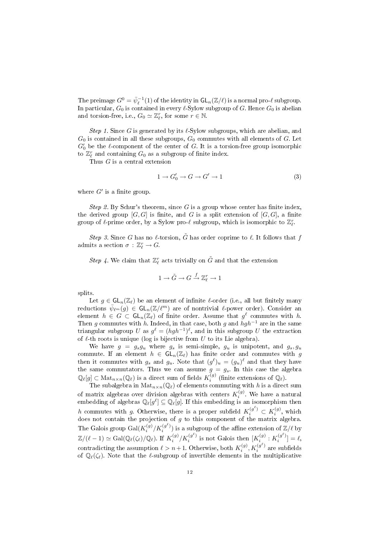The preimage  $G^0 = \bar{\psi}_\ell^{-1}(1)$  of the identity in  $\mathsf{GL}_n(\mathbb{Z}/\ell)$  is a normal pro- $\ell$  subgroup. In particular,  $G_0$  is contained in every  $\ell$ -Sylow subgroup of G. Hence  $G_0$  is abelian and torsion-free, i.e.,  $G_0 \simeq \mathbb{Z}_{\ell}^r$ , for some  $r \in \mathbb{N}$ .

Step 1. Since G is generated by its  $\ell$ -Sylow subgroups, which are abelian, and  $G_0$  is contained in all these subgroups,  $G_0$  commutes with all elements of G. Let  $G'_{0}$  be the  $\ell$ -component of the center of G. It is a torsion-free group isomorphic to  $\mathbb{Z}_{\ell}^r$  and containing  $G_0$  as a subgroup of finite index.

Thus G is a central extension

$$
1 \to G'_0 \to G \to G' \to 1 \tag{3}
$$

where  $G'$  is a finite group.

Step 2. By Schur's theorem, since G is a group whose center has finite index, the derived group  $[G, G]$  is finite, and G is a split extension of  $[G, G]$ , a finite group of  $\ell$ -prime order, by a Sylow pro- $\ell$  subgroup, which is isomorphic to  $\mathbb{Z}_{\ell}^r$ .

Step 3. Since G has no  $\ell$ -torsion,  $\tilde{G}$  has order coprime to  $\ell$ . It follows that f admits a section  $\sigma : \mathbb{Z}_{\ell}^r \to G$ .

Step 4. We claim that  $\mathbb{Z}_{\ell}^r$  acts trivially on  $\tilde{G}$  and that the extension

$$
1\to \tilde G\to G\stackrel{f}{\to} \mathbb{Z}_{\ell}^r\to 1
$$

splits.

Let  $q \in GL_n(\mathbb{Z}_\ell)$  be an element of infinite  $\ell$ -order (i.e., all but finitely many reductions  $\bar{\psi}_{\ell^m}(g) \in \mathsf{GL}_n(\mathbb{Z}/\ell^m)$  are of nontrivial  $\ell$ -power order). Consider an element  $h \in G \subset GL_n(\mathbb{Z}_\ell)$  of finite order. Assume that  $g^{\ell}$  commutes with h. Then g commutes with h. Indeed, in that case, both g and  $hgh^{-1}$  are in the same triangular subgroup  $U$  as  $g^{\ell} = (hgh^{-1})^{\ell}$ , and in this subgroup  $U$  the extraction of  $\ell$ -th roots is unique (log is bijective from  $U$  to its Lie algebra).

We have  $g = g_s g_u$  where  $g_s$  is semi-simple,  $g_u$  is unipotent, and  $g_s, g_u$ commute. If an element  $h \in GL_n(\mathbb{Z}_\ell)$  has finite order and commutes with g then it commutes with  $g_s$  and  $g_u$ . Note that  $(g^{\ell})_u = (g_u)^{\ell}$  and that they have the same commutators. Thus we can assume  $g = g_s$ . In this case the algebra  $\mathbb{Q}_{\ell}[g] \subset \text{Mat}_{n \times n}(\mathbb{Q}_{\ell})$  is a direct sum of fields  $K_i^{(g)}$  (finite extensions of  $\mathbb{Q}_{\ell}$ ).

The subalgebra in  $\text{Mat}_{n\times n}(\mathbb{Q}_\ell)$  of elements commuting with h is a direct sum of matrix algebras over division algebras with centers  $K_i^{(g)}$ . We have a natural embedding of algebras  $\mathbb{Q}_{\ell}[g^{\ell}] \subseteq \mathbb{Q}_{\ell}[g]$ . If this embedding is an isomorphism then h commutes with g. Otherwise, there is a proper subfield  $K_i^{(g^{\ell})} \subset K_i^{(g)}$ , which does not contain the projection of  $g$  to this component of the matrix algebra. The Galois group  $\mathrm{Gal}(K_i^{(g)}/K_i^{(g^\ell)})$  is a subgroup of the affine extension of  $\mathbb{Z}/\ell$  by  $\mathbb{Z}/(\ell-1) \simeq \text{Gal}(\mathbb{Q}_{\ell}(\zeta_{\ell})/\mathbb{Q}_{\ell}).$  If  $K_i^{(g)}/K_i^{(g^{\ell})}$  is not Galois then  $[K_i^{(g)}: K_i^{(g^{\ell})}] = \ell$ , contradicting the assumption  $\ell > n+1$ . Otherwise, both  $K_i^{(g)}, K_i^{(g^\ell)}$  are subfields of  $\mathbb{Q}_{\ell}(\zeta_{\ell})$ . Note that the  $\ell$ -subgroup of invertible elements in the multiplicative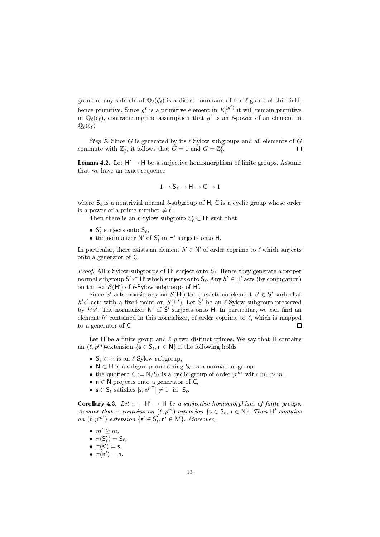group of any subfield of  $\mathbb{Q}_{\ell}(\zeta_{\ell})$  is a direct summand of the  $\ell$ -group of this field, hence primitive. Since  $g^{\ell}$  is a primitive element in  $K_i^{(g^{\ell})}$  it will remain primitive in  $\mathbb{Q}_{\ell}(\zeta_{\ell})$ , contradicting the assumption that  $g^{\ell}$  is an  $\ell$ -power of an element in  $\mathbb{Q}_{\ell}(\zeta_{\ell}).$ 

Step 5. Since G is generated by its  $\ell$ -Sylow subgroups and all elements of G commute with  $\mathbb{Z}_{\ell}^r$ , it follows that  $\tilde{G} = 1$  and  $G = \mathbb{Z}_{\ell}^r$ .  $\Box$ 

**Lemma 4.2.** Let  $H' \to H$  be a surjective homomorphism of finite groups. Assume that we have an exact sequence

$$
1\to S_\ell\to H\to C\to 1
$$

where  $S_\ell$  is a nontrivial normal  $\ell$ -subgroup of H, C is a cyclic group whose order is a power of a prime number  $\neq \ell$ .

Then there is an  $\ell\text{-}\mathrm{Sylow}$  subgroup  $\mathsf{S}'_\ell\subset\mathsf{H}'$  such that

- $S'_\ell$  surjects onto  $S_\ell$ ,
- $\bullet\,$  the normalizer  $\mathsf{N}'$  of  $\mathsf{S}'_\ell$  in  $\mathsf{H}'$  surjects onto  $\mathsf{H}.$

In particular, there exists an element  $h' \in \mathbb{N}'$  of order coprime to  $\ell$  which surjects onto a generator of C.

*Proof.* All  $\ell$ -Sylow subgroups of H' surject onto  $S_{\ell}$ . Hence they generate a proper normal subgroup  $S' \subset H'$  which surjects onto  $S_\ell$ . Any  $h' \in H'$  acts (by conjugation) on the set  $\mathcal{S}(\mathsf{H}')$  of  $\ell$ -Sylow subgroups of  $\mathsf{H}'.$ 

Since S' acts transitively on  $\mathcal{S}(\mathsf{H}')$  there exists an element  $s' \in \mathsf{S}'$  such that h's' acts with a fixed point on  $S(H')$ . Let  $\tilde{S}'$  be an  $\ell$ -Sylow subgroup preserved by  $h's'$ . The normalizer N' of  $\tilde{S}'$  surjects onto H. In particular, we can find an element  $\tilde{h}'$  contained in this normalizer, of order coprime to  $\ell$ , which is mapped to a generator of C. П

Let H be a finite group and  $\ell, p$  two distinct primes. We say that H contains an  $(\ell, p^m)$ -extension  $\{s \in S_\ell, n \in \mathbb{N}\}\$ if the following holds:

- $S_{\ell} \subset H$  is an  $\ell$ -Sylow subgroup,
- N  $\subset$  H is a subgroup containing  $S_\ell$  as a normal subgroup,
- the quotient  $C := N/S_{\ell}$  is a cyclic group of order  $p^{m_1}$  with  $m_1 > m$ ,
- $n \in N$  projects onto a generator of  $C$ ,
- $s \in S_\ell$  satisfies  $[s, n^{p^m}] \neq 1$  in  $S_\ell$ .

**Corollary 4.3.** Let  $\pi$  : H'  $\rightarrow$  H be a surjective homomorphism of finite groups. Assume that H contains an  $(\ell, p^m)$  extension  $\{s \in S_\ell, n \in N\}$ . Then H' contains an  $(\ell, p^{m'})$ -extension  $\{s' \in S'_\ell, n' \in N'\}$ . Moreover,

- $m' \geq m$ ,
- $\pi(S'_\ell) = S_\ell$ ,
- $\bullet \ \pi(s') = s,$
- $\pi(n') = n$ .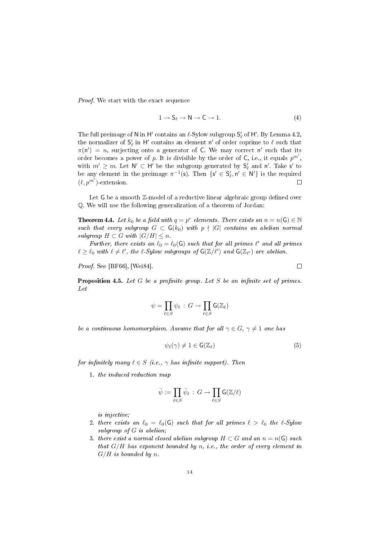Proof. We start with the exact sequence

$$
1 \to S_{\ell} \to N \to C \to 1. \tag{4}
$$

The full preimage of  ${\sf N}$  in  ${\sf H}'$  contains an  $\ell\text{-}{\rm Sylow}$  subgroup  ${\sf S}'_\ell$  of  ${\sf H}'$  . By Lemma 4.2, the normalizer of  $\mathsf{S}'_\ell$  in  $\mathsf{H}'$  contains an element  $\mathsf{n}'$  of order coprime to  $\ell$  such that  $\pi(\mathsf{n}') = n$ , surjecting onto a generator of C. We may correct n' such that its order becomes a power of p. It is divisible by the order of C, i.e., it equals  $p^{m'}$ , with  $m' \geq m$ . Let  $\mathsf{N}' \subset \mathsf{H}'$  be the subgroup generated by  $\mathsf{S}'_\ell$  and  $\mathsf{n}'$ . Take  $\mathsf{s}'$  to be any element in the preimage  $\pi^{-1}(\mathsf{s})$ . Then  $\{\mathsf{s}' \in \mathsf{S}'_{\ell}, \mathsf{n}' \in \mathsf{N}'\}$  is the required  $(\ell, p^{m'})$ -extension. П

Let  $G$  be a smooth  $\mathbb{Z}$ -model of a reductive linear algebraic group defined over Q. We will use the following generalization of a theorem of Jordan:

**Theorem 4.4.** Let  $k_0$  be a field with  $q = p^r$  elements. There exists an  $n = n(G) \in \mathbb{N}$ such that every subgroup  $G \subset G(k_0)$  with  $p \nmid |G|$  contains an abelian normal subgroup  $H \subset G$  with  $|G/H| \leq n$ .

Further, there exists an  $\ell_0 = \ell_0(G)$  such that for all primes  $\ell'$  and all primes  $\ell \geq \ell_0$  with  $\ell \neq \ell'$ , the  $\ell$ -Sylow subgroups of  $G(\mathbb{Z}/\ell')$  and  $G(\mathbb{Z}_{\ell'})$  are abelian.

Proof. See [BF66], [Wei84].

**Proposition 4.5.** Let  $G$  be a profinite group. Let  $S$  be an infinite set of primes. Let

$$
\psi = \prod_{\ell \in S} \psi_{\ell} \,:\, G \to \prod_{\ell \in S} \mathsf{G}(\mathbb{Z}_{\ell})
$$

be a continuous homomorphism. Assume that for all  $\gamma \in G$ ,  $\gamma \neq 1$  one has

$$
\psi_{\ell}(\gamma) \neq 1 \in \mathsf{G}(\mathbb{Z}_{\ell}) \tag{5}
$$

for infinitely many  $\ell \in S$  (i.e.,  $\gamma$  has infinite support). Then

1. the induced reduction map

$$
\bar{\psi}:=\prod_{\ell\in S}\bar{\psi}_\ell\,:\,G\rightarrow \prod_{\ell\in S}\mathsf G({\mathbb Z}/\ell)
$$

is injective;

- 2. there exists an  $\ell_0 = \ell_0(G)$  such that for all primes  $\ell > \ell_0$  the  $\ell$ -Sylow subgroup of G is abelian;
- 3. there exist a normal closed abelian subgroup  $H \subset G$  and an  $n = n(G)$  such that  $G/H$  has exponent bounded by n, i.e., the order of every element in  $G/H$  is bounded by n.

 $\Box$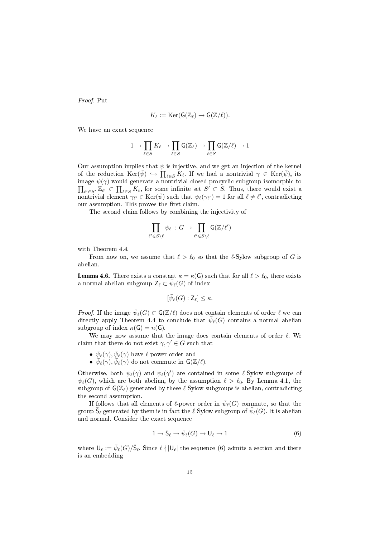Proof. Put

$$
K_{\ell} := \mathrm{Ker}(\mathsf{G}(\mathbb{Z}_{\ell}) \to \mathsf{G}(\mathbb{Z}/\ell)).
$$

We have an exact sequence

$$
1 \to \prod_{\ell \in S} K_{\ell} \to \prod_{\ell \in S} \mathsf G({\mathbb Z}_{\ell}) \to \prod_{\ell \in S} \mathsf G({\mathbb Z}/\ell) \to 1
$$

Our assumption implies that  $\psi$  is injective, and we get an injection of the kernel of the reduction  $\text{Ker}(\bar{\psi}) \hookrightarrow \prod_{\ell \in S} K_{\ell}$ . If we had a nontrivial  $\gamma \in \text{Ker}(\bar{\psi})$ , its image  $\prod$  $\psi(\gamma)$  would generate a nontrivial closed procyclic subgroup isomorphic to  $\ell' \in S' \overline{\mathbb{Z}_{\ell'}} \subset \prod_{\ell \in S} K_{\ell}$ , for some infinite set  $S' \subset S$ . Thus, there would exist a nontrivial element  $\gamma_{\ell'} \in \text{Ker}(\bar{\psi})$  such that  $\psi_{\ell}(\gamma_{\ell'}) = 1$  for all  $\ell \neq \ell'$ , contradicting our assumption. This proves the first claim.

The second claim follows by combining the injectivity of

$$
\prod_{\ell' \in S \setminus \ell} \psi_{\ell} \, : \, G \to \prod_{\ell' \in S \setminus \ell} \mathsf{G}(\mathbb{Z}/\ell')
$$

with Theorem 4.4.

From now on, we assume that  $\ell > \ell_0$  so that the  $\ell$ -Sylow subgroup of G is abelian.

**Lemma 4.6.** There exists a constant  $\kappa = \kappa(G)$  such that for all  $\ell > \ell_0$ , there exists a normal abelian subgroup  $\mathsf{Z}_{\ell} \subset \bar{\psi}_{\ell}(G)$  of index

$$
[\bar{\psi}_{\ell}(G): \mathsf Z_{\ell}] \leq \kappa.
$$

*Proof.* If the image  $\bar{\psi}_{\ell}(G) \subset G(\mathbb{Z}/\ell)$  does not contain elements of order  $\ell$  we can directly apply Theorem 4.4 to conclude that  $\bar{\psi}_{\ell}(G)$  contains a normal abelian subgroup of index  $\kappa(G) = n(G)$ .

We may now assume that the image does contain elements of order  $\ell$ . We claim that there do not exist  $\gamma, \gamma' \in G$  such that

- $\bar{\psi}_{\ell}(\gamma), \bar{\psi}_{\ell}(\gamma)$  have  $\ell$ -power order and
- $\bar{\psi}_{\ell}(\gamma), \bar{\psi}_{\ell}(\gamma)$  do not commute in  $\mathsf{G}(\mathbb{Z}/\ell)$ .

Otherwise, both  $\psi_{\ell}(\gamma)$  and  $\psi_{\ell}(\gamma')$  are contained in some  $\ell$ -Sylow subgroups of  $\psi_{\ell}(G)$ , which are both abelian, by the assumption  $\ell > \ell_0$ . By Lemma 4.1, the subgroup of  $G(\mathbb{Z}_\ell)$  generated by these  $\ell$ -Sylow subgroups is abelian, contradicting the second assumption.

If follows that all elements of  $\ell$ -power order in  $\bar{\psi}_{\ell}(G)$  commute, so that the group  $\bar{\mathsf S}_{\ell}$  generated by them is in fact the  $\ell\text{-}\mathrm{Sylow}$  subgroup of  $\bar\psi_\ell(G)$ . It is abelian and normal. Consider the exact sequence

$$
1 \to \bar{\mathsf{S}}_{\ell} \to \bar{\psi}_{\ell}(G) \to \mathsf{U}_{\ell} \to 1 \tag{6}
$$

where  $\mathsf{U}_\ell := \bar{\psi}_\ell(G)/\bar{\mathsf{S}}_\ell$ . Since  $\ell \nmid |\mathsf{U}_\ell|$  the sequence (6) admits a section and there is an embedding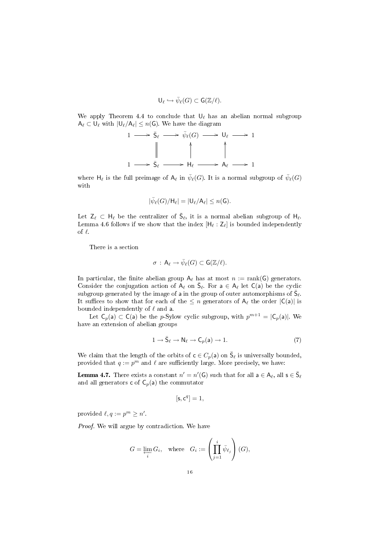$$
\mathsf U_{\ell} \hookrightarrow \bar{\psi}_{\ell}(G) \subset \mathsf G({\mathbb Z}/\ell).
$$

We apply Theorem 4.4 to conclude that  $\mathsf{U}_\ell$  has an abelian normal subgroup  $A_{\ell} \subset U_{\ell}$  with  $|U_{\ell}/A_{\ell}| \leq n(G)$ . We have the diagram

$$
1 \longrightarrow \overline{S}_{\ell} \longrightarrow \overline{\psi}_{\ell}(G) \longrightarrow U_{\ell} \longrightarrow 1
$$
  

$$
\parallel \qquad \qquad \parallel \qquad \qquad \parallel
$$
  

$$
1 \longrightarrow \overline{S}_{\ell} \longrightarrow H_{\ell} \longrightarrow A_{\ell} \longrightarrow 1
$$

where  $\mathsf{H}_\ell$  is the full preimage of  $\mathsf{A}_\ell$  in  $\bar{\psi}_\ell(G)$ . It is a normal subgroup of  $\bar{\psi}_\ell(G)$ with

$$
|\bar{\psi}_{\ell}(G)/H_{\ell}|=|\mathsf{U}_{\ell}/\mathsf{A}_{\ell}|\leq n(\mathsf{G}).
$$

Let  $Z_\ell \subset H_\ell$  be the centralizer of  $\bar{S}_\ell$ , it is a normal abelian subgroup of  $H_\ell$ . Lemma 4.6 follows if we show that the index  $[H_\ell : Z_\ell]$  is bounded independently of  $\ell$ .

There is a section

$$
\sigma\,:\,\mathsf{A}_{\ell}\to\bar{\psi}_{\ell}(G)\subset\mathsf{G}(\mathbb{Z}/\ell).
$$

In particular, the finite abelian group  $A_\ell$  has at most  $n := \text{rank}(G)$  generators. Consider the conjugation action of  $A_\ell$  on  $\bar{S}_\ell$ . For  $a \in A_\ell$  let  $C(a)$  be the cyclic subgroup generated by the image of a in the group of outer automorphisms of  $\bar{S}_{\ell}$ . It suffices to show that for each of the  $\leq n$  generators of  $A_\ell$  the order  $|C(a)|$  is bounded independently of  $\ell$  and a.

Let  $C_p(a) \subset C(a)$  be the p-Sylow cyclic subgroup, with  $p^{m+1} = |C_p(a)|$ . We have an extension of abelian groups

$$
1 \to \bar{S}_{\ell} \to N_{\ell} \to C_p(a) \to 1. \tag{7}
$$

We claim that the length of the orbits of  $c \in C_p(a)$  on  $\bar{S}_\ell$  is universally bounded, provided that  $q := p^m$  and  $\ell$  are sufficiently large. More precisely, we have:

**Lemma 4.7.** There exists a constant  $n' = n'(G)$  such that for all  $a \in A_{\ell}$ , all  $s \in \overline{S}_{\ell}$ and all generators **c** of  $C_p(a)$  the commutator

$$
[\mathsf{s}, \mathsf{c}^q] = 1,
$$

provided  $\ell, q := p^m \geq n'$ .

Proof. We will argue by contradiction. We have

$$
G = \varprojlim_{i} G_{i}, \quad \text{where} \quad G_{i} := \left(\prod_{j=1}^{i} \bar{\psi}_{\ell_{j}}\right)(G),
$$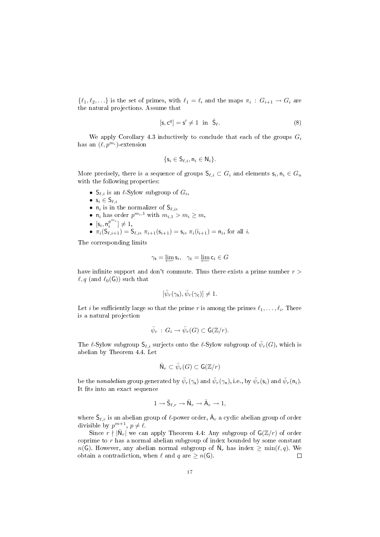$\{\ell_1, \ell_2, ...\}$  is the set of primes, with  $\ell_1 = \ell$ , and the maps  $\pi_i : G_{i+1} \to G_i$  are the natural projections. Assume that

$$
[\mathsf{s}, \mathsf{c}^q] = \mathsf{s}' \neq 1 \quad \text{in} \quad \bar{\mathsf{S}}_{\ell}. \tag{8}
$$

We apply Corollary 4.3 inductively to conclude that each of the groups  $G_i$ has an  $(\ell, p^{m_i})$ -extension

$$
\{s_i \in S_{\ell,i}, n_i \in N_i\}.
$$

More precisely, there is a sequence of groups  $\mathsf{S}_{\ell,i} \subset G_i$  and elements  $\mathsf{s}_i, \mathsf{n}_i \in G_n$ with the following properties:

- $\mathsf{S}_{\ell,i}$  is an  $\ell$ -Sylow subgroup of  $G_i$ ,
- $s_i \in S_{\ell,i}$
- $n_i$  is in the normalizer of  $S_{\ell,i}$ ,
- $n_i$  has order  $p^{m_i,1}$  with  $m_{i,1} > m_i \ge m$ ,
- $\bullet \ \ [{\sf s}_i,{\sf n}_i^{p^{m_i}}] \neq 1,$
- $\pi_i(S_{\ell,i+1}) = S_{\ell,i}, \pi_{i+1}(s_{i+1}) = s_i, \pi_i(i_{i+1}) = n_i$ , for all i.

The corresponding limits

$$
\gamma_{\mathsf{s}} = \varprojlim \mathsf{s}_i, \ \ \gamma_{\mathsf{c}} = \varprojlim \mathsf{c}_i \in G
$$

have infinite support and don't commute. Thus there exists a prime number  $r >$  $\ell$ , q (and  $\ell_0(G)$ ) such that

$$
[\bar{\psi}_r(\gamma_{\mathsf{s}}), \bar{\psi}_r(\gamma_{\mathsf{c}})] \neq 1.
$$

Let  $i$  be sufficiently large so that the prime  $r$  is among the primes  $\ell_1, \ldots, \ell_i.$  There is a natural projection

$$
\bar{\psi}_r \,:\, G_i \to \bar{\psi}_r(G) \subset \mathsf{G}(\mathbb{Z}/r).
$$

The  $\ell$ -Sylow subgroup  $\mathsf{S}_{\ell,i}$  surjects onto the  $\ell$ -Sylow subgroup of  $\bar{\psi}_r(G)$ , which is abelian by Theorem 4.4. Let

$$
\bar{\mathsf{N}}_r \subset \bar{\psi}_r(G) \subset \mathsf{G}(\mathbb{Z}/r)
$$

be the nonabelian group generated by  $\bar{\psi}_r(\gamma_{\mathsf{s}})$  and  $\bar{\psi}_r(\gamma_{\mathsf{n}})$ , i.e., by  $\bar{\psi}_r(\mathsf{s}_i)$  and  $\bar{\psi}_r(\mathsf{n}_i)$ . It fits into an exact sequence

$$
1 \to \bar{S}_{\ell,r} \to \bar{N}_r \to \bar{A}_r \to 1,
$$

where  $\bar{\mathsf S}_{\ell,r}$  is an abelian group of  $\ell$ -power order,  $\bar{\mathsf A}_r$  a cyclic abelian group of order divisible by  $p^{m+1}$ ,  $p \neq \ell$ .

Since  $r \nmid |\bar{N}_r|$  we can apply Theorem 4.4: Any subgroup of  $G(\mathbb{Z}/r)$  of order coprime to  $r$  has a normal abelian subgroup of index bounded by some constant  $n(\mathsf{G})$ . However, any abelian normal subgroup of  $\bar{\mathsf{N}}_r$  has index  $\geq \min(\ell, q)$ . We obtain a contradiction, when  $\ell$  and  $q$  are  $\geq n(G)$ .  $\Box$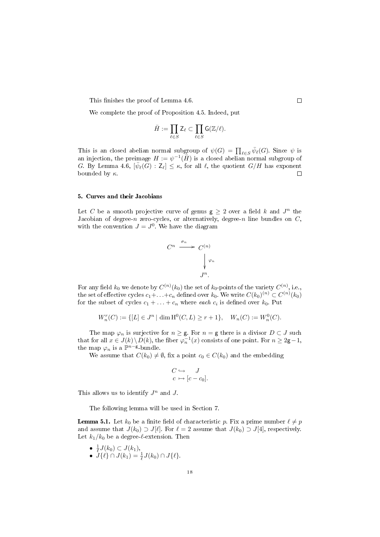This finishes the proof of Lemma 4.6.

We complete the proof of Proposition 4.5. Indeed, put

$$
\bar{H}:=\prod_{\ell\in S} \mathsf{Z}_{\ell}\subset \prod_{\ell\in S} \mathsf{G}(\mathbb{Z}/\ell).
$$

This is an closed abelian normal subgroup of  $\psi(G) = \prod_{\ell \in S} \bar{\psi}_{\ell}(G)$ . Since  $\psi$  is an injection, the preimage  $H := \psi^{-1}(\bar{H})$  is a closed abelian normal subgroup of G. By Lemma 4.6,  $[\bar{\psi}_{\ell}(G):Z_{\ell}] \leq \kappa$ , for all  $\ell$ , the quotient  $G/H$  has exponent bounded by  $\kappa$ .  $\Box$ 

#### 5. Curves and their Jacobians

Let C be a smooth projective curve of genus  $g \geq 2$  over a field k and  $J^n$  the Jacobian of degree-n zero-cycles, or alternatively, degree-n line bundles on  $C$ , with the convention  $J = J^0$ . We have the diagram

$$
C^n \xrightarrow{\sigma_n} C^{(n)} \qquad \downarrow \varphi_n
$$

$$
J^n.
$$

For any field  $k_0$  we denote by  $C^{(n)}(k_0)$  the set of  $k_0$ -points of the variety  $C^{(n)}$ , i.e., the set of effective cycles  $c_1+\ldots+c_n$  defined over  $k_0.$  We write  $C(k_0)^{(n)}\subset C^{(n)}(k_0)$ for the subset of cycles  $c_1 + \ldots + c_n$  where each  $c_i$  is defined over  $k_0$ . Put

$$
W_n^r(C) := \{ [L] \in J^n \mid \dim \mathrm{H}^0(C, L) \ge r + 1 \}, \quad W_n(C) := W_n^0(C).
$$

The map  $\varphi_n$  is surjective for  $n \geq \mathsf{g}$ . For  $n = \mathsf{g}$  there is a divisor  $D \subset J$  such that for all  $x \in J(k) \setminus D(k)$ , the fiber  $\varphi_n^{-1}(x)$  consists of one point. For  $n \geq 2$ g – 1, the map  $\varphi_n$  is a  $\mathbb{P}^{n-g}$ -bundle.

We assume that  $C(k_0) \neq \emptyset$ , fix a point  $c_0 \in C(k_0)$  and the embedding

$$
C \hookrightarrow J
$$
  

$$
c \mapsto [c - c_0].
$$

This allows us to identify  $J^n$  and  $J$ .

The following lemma will be used in Section 7.

**Lemma 5.1.** Let  $k_0$  be a finite field of characteristic p. Fix a prime number  $\ell \neq p$ and assume that  $J(k_0) \supset J[\ell]$ . For  $\ell = 2$  assume that  $J(k_0) \supset J[4]$ , respectively. Let  $k_1/k_0$  be a degree- $\ell$ -extension. Then

- $\frac{1}{\ell}J(k_0) \subset J(k_1),$
- $J\{\ell\} \cap J(k_1) = \frac{1}{\ell} J(k_0) \cap J\{\ell\}.$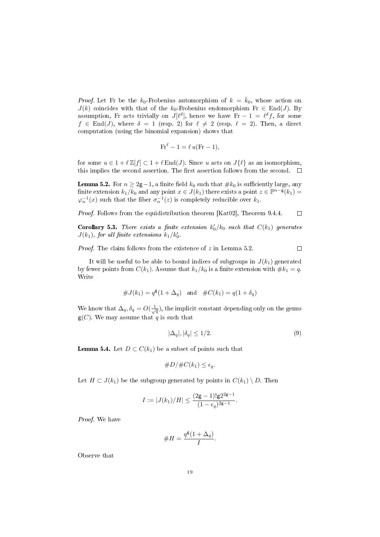*Proof.* Let Fr be the  $k_0$ -Frobenius automorphism of  $k = \bar{k}_0$ , whose action on  $J(k)$  coincides with that of the k<sub>0</sub>-Frobenius endomorphism Fr  $\in$  End(J). By assumption, Fr acts trivially on  $J[\ell^{\delta}],$  hence we have Fr – 1 =  $\ell^{\delta} f$ , for some  $f \in \text{End}(J)$ , where  $\delta = 1$  (resp. 2) for  $\ell \neq 2$  (resp.  $\ell = 2$ ). Then, a direct computation (using the binomial expansion) shows that

$$
\text{Fr}^{\ell} - 1 = \ell u(\text{Fr} - 1),
$$

for some  $u \in 1 + \ell \mathbb{Z}[f] \subset 1 + \ell \text{End}(J)$ . Since u acts on  $J\{\ell\}$  as an isomorphism, this implies the second assertion. The first assertion follows from the second.  $\Box$ 

**Lemma 5.2.** For  $n \geq 2g-1$ , a finite field  $k_0$  such that  $\#k_0$  is sufficiently large, any finite extension  $k_1/k_0$  and any point  $x \in J(k_1)$  there exists a point  $z \in \mathbb{P}^{n-g}(k_1)$  $\varphi_n^{-1}(x)$  such that the fiber  $\sigma_n^{-1}(z)$  is completely reducible over  $k_1$ .

Proof. Follows from the equidistribution theorem [Kat02], Theorem 9.4.4.  $\Box$ 

**Corollary 5.3.** There exists a finite extension  $k'_0/k_0$  such that  $C(k_1)$  generates  $J(k_1)$ , for all finite extensions  $k_1/k'_0$ .

*Proof.* The claim follows from the existence of  $z$  in Lemma 5.2.

It will be useful to be able to bound indices of subgroups in  $J(k_1)$  generated by fewer points from  $C(k_1)$ . Assume that  $k_1/k_0$  is a finite extension with  $\#k_1 = q$ . Write

$$
#J(k_1) = q^g(1 + \Delta_q)
$$
 and  $#C(k_1) = q(1 + \delta_q)$ 

We know that  $\Delta_q$ ,  $\delta_q = O(\frac{1}{\sqrt{q}})$ , the implicit constant depending only on the genus  $g(C)$ . We may assume that q is such that

$$
|\Delta_q|, |\delta_q| \le 1/2. \tag{9}
$$

 $\Box$ 

**Lemma 5.4.** Let  $D \subset C(k_1)$  be a subset of points such that

$$
\#D/\#C(k_1) \leq \epsilon_q.
$$

Let  $H \subset J(k_1)$  be the subgroup generated by points in  $C(k_1) \setminus D$ . Then

$$
I:=|J(k_1)/H|\leq \frac{(2\mathsf g-1)!\mathsf g 2^{2\mathsf g-1}}{(1-\epsilon_q)^{2\mathsf g-1}}.
$$

Proof. We have

#H = q g (1 + ∆q) I .

Observe that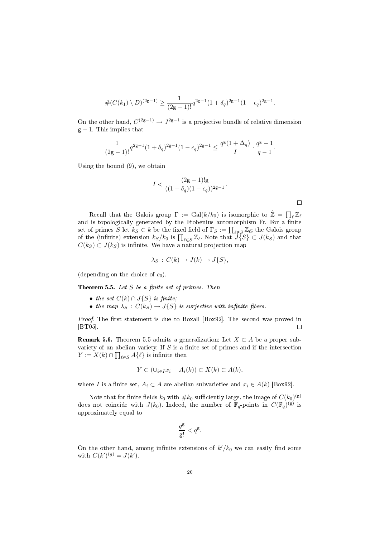$$
\#(C(k_1)\setminus D)^{(2\mathsf g-1)}\ge \frac{1}{(2\mathsf g-1)!}q^{2\mathsf g-1}(1+\delta_q)^{2\mathsf g-1}(1-\epsilon_q)^{2\mathsf g-1}.
$$

On the other hand,  $C^{(2g-1)} \rightarrow J^{2g-1}$  is a projective bundle of relative dimension  $g - 1$ . This implies that

$$
\frac{1}{(2\mathsf g-1)!}q^{2\mathsf g-1}(1+\delta_q)^{2\mathsf g-1}(1-\epsilon_q)^{2\mathsf g-1}\leq \frac{q^{\mathsf g}(1+\Delta_q)}{I}\cdot \frac{q^{\mathsf g}-1}{q-1}.
$$

Using the bound  $(9)$ , we obtain

$$
I < \frac{(2\mathsf{g}-1)!\mathsf{g}}{((1+\delta_q)(1-\epsilon_q))^{2\mathsf{g}-1}}.
$$

Recall that the Galois group  $\Gamma := \text{Gal}(k/k_0)$  is isomorphic to  $\hat{\mathbb{Z}} = \prod_{\ell} \mathbb{Z}_{\ell}$ and is topologically generated by the Frobenius automorphism Fr. For a finite set of primes S let  $k_S \subset k$  be the fixed field of  $\Gamma_S := \prod_{\ell \notin S} \mathbb{Z}_\ell$ ; the Galois group of the (infinite) extension  $k_S/k_0$  is  $\prod_{\ell \in S} \mathbb{Z}_{\ell}$ . Note that  $\widetilde{J}_{S}^S \subset J(k_S)$  and that  $C(k_S) \subset J(k_S)$  is infinite. We have a natural projection map

$$
\lambda_S\,:\,C(k)\to J(k)\to J\{S\},\,
$$

(depending on the choice of  $c_0$ ).

**Theorem 5.5.** Let  $S$  be a finite set of primes. Then

- the set  $C(k) \cap J\{S\}$  is finite;
- the map  $\lambda_S : C(k_S) \to J\{S\}$  is surjective with infinite fibers.

*Proof.* The first statement is due to Boxall [Box92]. The second was proved in [BT05].  $\Box$ 

**Remark 5.6.** Theorem 5.5 admits a generalization: Let  $X \subset A$  be a proper subvariety of an abelian variety. If  $S$  is a finite set of primes and if the intersection  $Y := X(k) \cap \prod_{\ell \in S} A\{\ell\}$  is infinite then

$$
Y \subset (\cup_{i \in I} x_i + A_i(k)) \subset X(k) \subset A(k),
$$

where I is a finite set,  $A_i \subset A$  are abelian subvarieties and  $x_i \in A(k)$  [Box92].

Note that for finite fields  $k_0$  with  $\# k_0$  sufficiently large, the image of  $C(k_0)^{(\mathsf{g})}$ does not coincide with  $J(k_0)$ . Indeed, the number of  $\mathbb{F}_q$ -points in  $C(\mathbb{F}_q)^{(\mathbf{g})}$  is approximately equal to

$$
\frac{q^{\mathsf{g}}}{\mathsf{g}!} < q^{\mathsf{g}}.
$$

On the other hand, among infinite extensions of  $k'/k_0$  we can easily find some with  $C(k')^{(g)} = J(k')$ .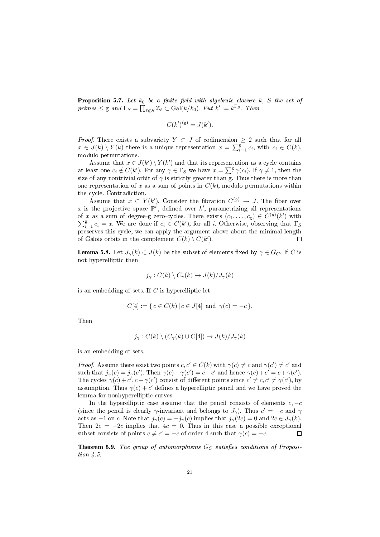**Proposition 5.7.** Let  $k_0$  be a finite field with algebraic closure k, S the set of  $primes \leq$  g and  $\Gamma_S = \prod_{\ell \notin S} \mathbb{Z}_{\ell} \subset \text{Gal}(k/k_0)$ . Put  $k' := k^{\Gamma_S}$ . Then

$$
C(k')^{(\mathsf{g})} = J(k').
$$

*Proof.* There exists a subvariety  $Y \subset J$  of codimension  $\geq 2$  such that for all  $x \in J(k) \setminus Y(k)$  there is a unique representation  $x = \sum_{i=1}^{g} c_i$ , with  $c_i \in C(k)$ , modulo permutations.

Assume that  $x \in J(k') \setminus Y(k')$  and that its representation as a cycle contains at least one  $c_i \notin C(k')$ . For any  $\gamma \in \Gamma_S$  we have  $x = \sum_1^g \gamma(c_i)$ . If  $\gamma \neq 1$ , then the size of any nontrivial orbit of  $\gamma$  is strictly greater than g. Thus there is more than one representation of x as a sum of points in  $C(k)$ , modulo permutations within the cycle. Contradiction.

Assume that  $x \subset Y(k')$ . Consider the fibration  $C^{(g)} \to J$ . The fiber over x is the projective space  $\mathbb{P}^r$ , defined over k', parametrizing all representations of x as a sum of degree-g zero-cycles. There exists  $(c_1, \ldots, c_g) \in C^{(g)}(k')$  with  $\sum_{i=1}^{g} c_i = x$ . We are done if  $c_i \in C(k')$ , for all i. Otherwise, observing that  $\Gamma_S$ preserves this cycle, we can apply the argument above about the minimal length of Galois orbits in the complement  $C(k) \setminus C(k')$ .  $\Box$ 

**Lemma 5.8.** Let  $J_{\gamma}(k) \subset J(k)$  be the subset of elements fixed by  $\gamma \in G_C$ . If C is not hyperelliptic then

$$
j_{\gamma}: C(k) \setminus C_{\gamma}(k) \to J(k)/J_{\gamma}(k)
$$

is an embedding of sets. If  $C$  is hyperelliptic let

$$
C[4] := \{ c \in C(k) \mid c \in J[4] \text{ and } \gamma(c) = -c \}.
$$

Then

$$
j_{\gamma}: C(k) \setminus (C_{\gamma}(k) \cup C[4]) \to J(k)/J_{\gamma}(k)
$$

is an embedding of sets.

*Proof.* Assume there exist two points  $c, c' \in C(k)$  with  $\gamma(c) \neq c$  and  $\gamma(c') \neq c'$  and such that  $j_{\gamma}(c) = j_{\gamma}(c')$ . Then  $\gamma(c) - \gamma(c') = c - c'$  and hence  $\gamma(c) + c' = c + \gamma(c')$ . The cycles  $\gamma(c) + c', c + \gamma(c')$  consist of different points since  $c' \neq c, c' \neq \gamma(c')$ , by assumption. Thus  $\gamma(c) + c'$  defines a hyperelliptic pencil and we have proved the lemma for nonhyperelliptic curves.

In the hyperelliptic case assume that the pencil consists of elements  $c, -c$ (since the pencil is clearly  $\gamma$ -invariant and belongs to  $J_{\gamma}$ ). Thus  $c' = -c$  and  $\gamma$ acts as -1 on c. Note that  $j_{\gamma}(c) = -j_{\gamma}(c)$  implies that  $j_{\gamma}(2c) = 0$  and  $2c \in J_{\gamma}(k)$ . Then  $2c = -2c$  implies that  $4c = 0$ . Thus in this case a possible exceptional subset consists of points  $c \neq c' = -c$  of order 4 such that  $\gamma(c) = -c$ .  $\Box$ 

**Theorem 5.9.** The group of automorphisms  $G_C$  satisfies conditions of Proposition 4.5.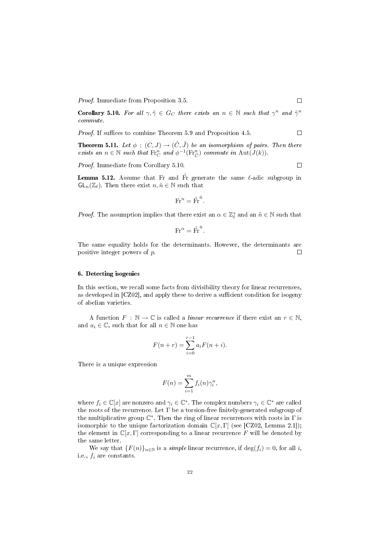Proof. Immediate from Proposition 3.5.

**Corollary 5.10.** For all  $\gamma, \tilde{\gamma} \in G_C$  there exists an  $n \in \mathbb{N}$  such that  $\gamma^n$  and  $\tilde{\gamma}^n$ commute.

Proof. If suffices to combine Theorem 5.9 and Proposition 4.5.

**Theorem 5.11.** Let  $\phi : (C, J) \rightarrow (\tilde{C}, \tilde{J})$  be an isomorphism of pairs. Then there exists an  $n \in \mathbb{N}$  such that  $\text{Fr}_C^n$  and  $\phi^{-1}(\text{Fr}_C^n)$  commute in  $\text{Aut}(J(k))$ .

Proof. Immediate from Corollary 5.10.

Lemma 5.12. Assume that Fr and  $\tilde{F}$ r generate the same  $\ell$ -adic subgroup in  $GL_n(\mathbb{Z}_\ell)$ . Then there exist  $n, \tilde{n} \in \mathbb{N}$  such that

$$
\text{Fr}^n = \tilde{\text{Fr}}^{\tilde{n}}.
$$

*Proof.* The assumption implies that there exist an  $\alpha \in \mathbb{Z}_{\ell}^*$  and an  $\tilde{n} \in \mathbb{N}$  such that

$$
\text{Fr}^{\alpha} = \tilde{\text{Fr}}^{\tilde{n}}.
$$

The same equality holds for the determinants. However, the determinants are positive integer powers of p. П

#### 6. Detecting isogenies

In this section, we recall some facts from divisibility theory for linear recurrences, as developed in  $[CZ02]$ , and apply these to derive a sufficient condition for isogeny of abelian varieties.

A function  $F : \mathbb{N} \to \mathbb{C}$  is called a *linear recurrence* if there exist an  $r \in \mathbb{N}$ , and  $a_i \in \mathbb{C}$ , such that for all  $n \in \mathbb{N}$  one has

$$
F(n + r) = \sum_{i=0}^{r-1} a_i F(n + i).
$$

There is a unique expression

$$
F(n) = \sum_{i=1}^{m} f_i(n) \gamma_i^n,
$$

where  $f_i \in \mathbb{C}[x]$  are nonzero and  $\gamma_i \in \mathbb{C}^*$ . The complex numbers  $\gamma_i \in \mathbb{C}^*$  are called the roots of the recurrence. Let  $\Gamma$  be a torsion-free finitely-generated subgroup of the multiplicative group  $\mathbb{C}^*$ . Then the ring of linear recurrences with roots in  $\Gamma$  is isomorphic to the unique factorization domain  $\mathbb{C}[x, \Gamma]$  (see [CZ02, Lemma 2.1]); the element in  $\mathbb{C}[x, \Gamma]$  corresponding to a linear recurrence F will be denoted by the same letter.

We say that  ${F(n)}_{n\in\mathbb{N}}$  is a *simple* linear recurrence, if  $\deg(f_i) = 0$ , for all *i*, i.e.,  $f_i$  are constants.

 $\Box$ 

 $\Box$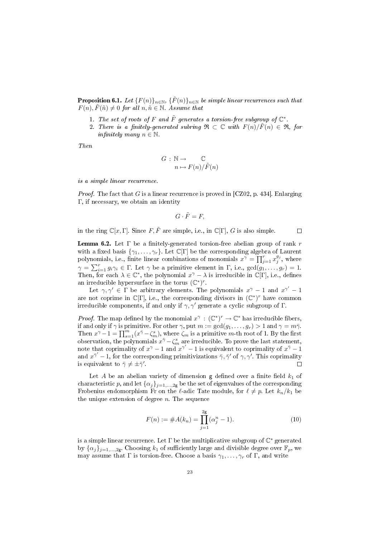**Proposition 6.1.** Let  $\{F(n)\}_{n\in\mathbb{N}}$ ,  $\{\tilde{F}(n)\}_{n\in\mathbb{N}}$  be simple linear recurrences such that  $F(n), \tilde{F}(\tilde{n}) \neq 0$  for all  $n, \tilde{n} \in \mathbb{N}$ . Assume that

- 1. The set of roots of F and  $\tilde{F}$  generates a torsion-free subgroup of  $\mathbb{C}^*$ .
- 2. There is a finitely-generated subring  $\mathfrak{R} \subset \mathbb{C}$  with  $F(n)/F(n) \in \mathfrak{R}$ , for infinitely many  $n \in \mathbb{N}$ .

Then

$$
G: \mathbb{N} \to \mathbb{C}
$$

$$
n \mapsto F(n)/\tilde{F}(n)
$$

is a simple linear recurrence.

*Proof.* The fact that G is a linear recurrence is proved in  $\left[$ CZ02, p. 434 $\right]$ . Enlarging Γ, if necessary, we obtain an identity

$$
G\cdot \tilde{F}=F,
$$

in the ring  $\mathbb{C}[x,\Gamma]$ . Since  $F,\tilde{F}$  are simple, i.e., in  $\mathbb{C}[\Gamma]$ , G is also simple.

 $\Box$ 

**Lemma 6.2.** Let  $\Gamma$  be a finitely-generated torsion-free abelian group of rank r with a fixed basis  $\{\gamma_1, \ldots, \gamma_r\}$ . Let  $\mathbb{C}[\Gamma]$  be the corresponding algebra of Laurent polynomials, i.e., finite linear combinations of monomials  $x^{\gamma} = \prod_{j=1}^{r} x_j^{g_j}$ , where  $\gamma = \sum_{i=1}^r g_i \gamma_i \in \Gamma$ . Let  $\gamma$  be a primitive element in  $\Gamma$ , i.e.,  $gcd(g_1, \ldots, g_r) = 1$ . Then, for each  $\lambda \in \mathbb{C}^*$ , the polynomial  $x^{\gamma} - \lambda$  is irreducible in  $\mathbb{C}[\Gamma]$ , i.e., defines an irreducible hypersurface in the torus  $(\mathbb{C}^*)^r$ .

Let  $\gamma, \gamma' \in \Gamma$  be arbitrary elements. The polynomials  $x^{\gamma} - 1$  and  $x^{\gamma'} - 1$ are not coprime in  $\mathbb{C}[\Gamma]$ , i.e., the corresponding divisors in  $(\mathbb{C}^*)^r$  have common irreducible components, if and only if  $\gamma$ ,  $\gamma'$  generate a cyclic subgroup of Γ.

*Proof.* The map defined by the monomial  $x^{\gamma} : (\mathbb{C}^*)^r \to \mathbb{C}^*$  has irreducible fibers, if and only if  $\gamma$  is primitive. For other  $\gamma$ , put  $m := \gcd(g_1, \ldots, g_r) > 1$  and  $\gamma = m\bar{\gamma}$ . Then  $x^{\gamma}-1=\prod_{s=1}^{m}(x^{\bar{\gamma}}-\zeta_m^s)$ , where  $\zeta_m$  is a primitive m-th root of 1. By the first observation, the polynomials  $x^{\bar{\gamma}} - \zeta_m^s$  are irreducible. To prove the last statement, note that coprimality of  $x^{\gamma} - 1$  and  $x^{\gamma'} - 1$  is equivalent to coprimality of  $x^{\bar{\gamma}} - 1$ and  $x^{\bar{z}'}-1$ , for the corresponding primitivizations  $\bar{\gamma}, \bar{\gamma}'$  of  $\gamma, \gamma'$ . This coprimality is equivalent to  $\bar{\gamma} \neq \pm \bar{\gamma}'$ .  $\Box$ 

Let A be an abelian variety of dimension  $g$  defined over a finite field  $k_1$  of characteristic p, and let  $\{\alpha_j\}_{j=1,\dots,2g}$  be the set of eigenvalues of the corresponding Frobenius endomorphism Fr on the  $\ell$ -adic Tate module, for  $\ell \neq p$ . Let  $k_n/k_1$  be the unique extension of degree  $n$ . The sequence

$$
F(n) := \#A(k_n) = \prod_{j=1}^{2g} (\alpha_j^n - 1).
$$
 (10)

is a simple linear recurrence. Let  $\Gamma$  be the multiplicative subgroup of  $\mathbb{C}^*$  generated by  $\{\alpha_j\}_{j=1,\dots,2g}$ . Choosing  $k_1$  of sufficiently large and divisible degree over  $\mathbb{F}_p$ , we may assume that  $\Gamma$  is torsion-free. Choose a basis  $\gamma_1, \ldots, \gamma_r$  of  $\Gamma$ , and write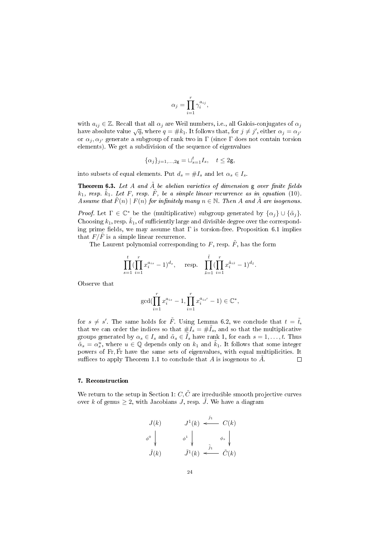$$
\alpha_j = \prod_{i=1}^r \gamma_i^{a_{ij}},
$$

with  $a_{ij} \in \mathbb{Z}$ . Recall that all  $\alpha_j$  are Weil numbers, i.e., all Galois-conjugates of  $\alpha_j$ with  $a_{ij} \in \mathbb{Z}$ . Recan that an  $\alpha_j$  are wen humbers, i.e., an Galois-conjugates of  $\alpha_j$ <br>have absolute value  $\sqrt{q}$ , where  $q = \#k_1$ . It follows that, for  $j \neq j'$ , either  $\alpha_j = \alpha_{j'}$ or  $\alpha_j, \alpha_{j'}$  generate a subgroup of rank two in  $\Gamma$  (since  $\Gamma$  does not contain torsion elements). We get a subdivision of the sequence of eigenvalues

$$
\{\alpha_j\}_{j=1,\ldots,2\mathsf g}=\sqcup_{s=1}^t I_s,\quad t\le 2\mathsf g,
$$

into subsets of equal elements. Put  $d_s = \#I_s$  and let  $\alpha_s \in I_s$ .

**Theorem 6.3.** Let A and  $\tilde{A}$  be abelian varieties of dimension g over finite fields  $k_1$ , resp.  $\tilde{k}_1$ . Let F, resp.  $\tilde{F}$ , be a simple linear recurrence as in equation (10). Assume that  $\tilde{F}(n) \mid F(n)$  for infinitely many  $n \in \mathbb{N}$ . Then A and  $\tilde{A}$  are isogenous.

*Proof.* Let  $\Gamma \in \mathbb{C}^*$  be the (multiplicative) subgroup generated by  $\{\alpha_j\} \cup \{\tilde{\alpha}_j\}.$ Choosing  $k_1$ , resp.  $\tilde{k}_1$ , of sufficiently large and divisible degree over the corresponding prime fields, we may assume that  $\Gamma$  is torsion-free. Proposition 6.1 implies that  $F/\overline{F}$  is a simple linear recurrence.

The Laurent polynomial corresponding to  $F$ , resp.  $\tilde{F}$ , has the form

$$
\prod_{s=1}^t (\prod_{i=1}^r x_i^{a_{is}} - 1)^{d_s}, \quad \text{resp.} \quad \prod_{\tilde{s}=1}^{\tilde{t}} (\prod_{i=1}^r x_i^{\tilde{a}_{i\tilde{s}}} - 1)^{d_{\tilde{s}}}.
$$

Observe that

$$
\gcd(\prod_{i=1}^r x_i^{a_{is}} - 1, \prod_{i=1}^r x_i^{a_{is'}} - 1) \in \mathbb{C}^*,
$$

for  $s \neq s'$ . The same holds for  $\tilde{F}$ . Using Lemma 6.2, we conclude that  $t = \tilde{t}$ , that we can order the indices so that  $#I_s = #I_s$ , and so that the multiplicative groups generated by  $\alpha_s \in I_s$  and  $\tilde{\alpha}_s \in I_s$  have rank 1, for each  $s = 1, \ldots, t$ . Thus  $\tilde{\alpha}_s = \alpha_s^u$ , where  $u \in \mathbb{Q}$  depends only on  $k_1$  and  $\tilde{k}_1$ . It follows that some integer powers of Fr, Fr have the same sets of eigenvalues, with equal multiplicities. It suffices to apply Theorem 1.1 to conclude that A is isogenous to  $\tilde{A}$ .  $\Box$ 

## 7. Reconstruction

We return to the setup in Section 1:  $C, \tilde{C}$  are irreducible smooth projective curves over k of genus  $\geq 2$ , with Jacobians J, resp. J. We have a diagram

$$
J(k) \qquad J^{1}(k) \stackrel{j_{1}}{\longleftarrow} C(k)
$$

$$
\phi^{0} \downarrow \qquad \phi^{1} \downarrow \qquad \phi_{s} \downarrow
$$

$$
\tilde{J}(k) \qquad \tilde{J}^{1}(k) \stackrel{\tilde{j}_{1}}{\longleftarrow} \tilde{C}(k)
$$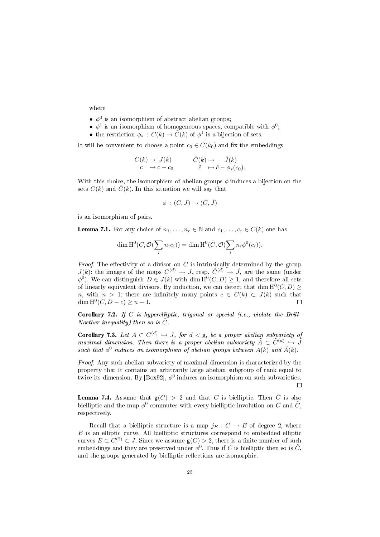where

- $\bullet$   $\phi^0$  is an isomorphism of abstract abelian groups;
- $\phi^1$  is an isomorphism of homogeneous spaces, compatible with  $\phi^0$ ;
- the restriction  $\phi_s : C(k) \to \tilde{C}(k)$  of  $\phi^1$  is a bijection of sets.

It will be convenient to choose a point  $c_0 \in C(k_0)$  and fix the embeddings

$$
C(k) \to J(k) \qquad \tilde{C}(k) \to \tilde{J}(k) \nc \mapsto c - c_0 \qquad \tilde{c} \mapsto \tilde{c} - \phi_s(c_0).
$$

With this choice, the isomorphism of abelian groups  $\phi$  induces a bijection on the sets  $C(k)$  and  $\tilde{C}(k)$ . In this situation we will say that

$$
\phi\,:\,(C,J)\rightarrow(\tilde{C},\tilde{J})
$$

is an isomorphism of pairs.

**Lemma 7.1.** For any choice of  $n_1, \ldots, n_r \in \mathbb{N}$  and  $c_1, \ldots, c_r \in C(k)$  one has

$$
\dim \mathrm{H}^0(C, \mathcal{O}(\sum_i n_i c_i)) = \dim \mathrm{H}^0(\tilde{C}, \mathcal{O}(\sum_i n_i \phi^0(c_i)).
$$

*Proof.* The effectivity of a divisor on  $C$  is intrinsically determined by the group  $J(k)$ : the images of the maps  $C^{(d)} \to J$ , resp.  $\tilde{C}^{(d)} \to \tilde{J}$ , are the same (under  $\phi^0$ ). We can distinguish  $D \in J(k)$  with dim  $\mathrm{H}^0(C, D) \geq 1$ , and therefore all sets of linearly equivalent divisors. By induction, we can detect that dim  $H^0(C, D) \ge$ n, with  $n > 1$ : there are infinitely many points  $c \in C(k) \subset J(k)$  such that  $\dim H^0(C, D - c) \geq n - 1.$  $\Box$ 

**Corollary 7.2.** If C is hyperelliptic, trigonal or special (i.e., violate the Brill-Noether inequality) then so is  $\tilde{C}$ .

**Corollary 7.3.** Let  $A \subset C^{(d)} \hookrightarrow J$ , for  $d < g$ , be a proper abelian subvariety of maximal dimension. Then there is a proper abelian subvariety  $\tilde{A} \subset \tilde{C}^{(d)} \hookrightarrow \tilde{J}$ such that  $\phi^0$  induces an isomorphism of abelian groups between  $A(k)$  and  $\tilde{A}(k)$ .

Proof. Any such abelian subvariety of maximal dimension is characterized by the property that it contains an arbitrarily large abelian subgroup of rank equal to twice its dimension. By  $\lbrack \mathrm{Box92]}, \phi^0$  induces an isomorphism on such subvarieties.  $\Box$ 

**Lemma 7.4.** Assume that  $g(C) > 2$  and that C is bielliptic. Then  $\tilde{C}$  is also bielliptic and the map  $\phi^0$  commutes with every bielliptic involution on C and  $\tilde{C}$ , respectively.

Recall that a bielliptic structure is a map  $j_E : C \to E$  of degree 2, where  $E$  is an elliptic curve. All bielliptic structures correspond to embedded elliptic curves  $E \subset C^{(2)} \subset J$ . Since we assume  $\mathsf{g}(C) > 2$ , there is a finite number of such embeddings and they are preserved under  $\phi^0$ . Thus if C is bielliptic then so is  $\tilde{C}$ , and the groups generated by bielliptic reflections are isomorphic.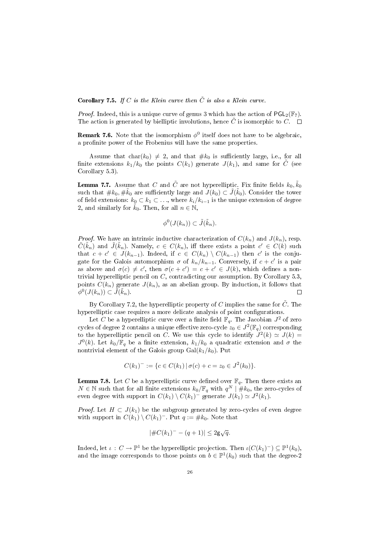**Corollary 7.5.** If C is the Klein curve then  $\tilde{C}$  is also a Klein curve.

*Proof.* Indeed, this is a unique curve of genus 3 which has the action of  $PGL_2(\mathbb{F}_7)$ . The action is generated by bielliptic involutions, hence  $\tilde{C}$  is isomorphic to  $C$ .  $\Box$ 

**Remark 7.6.** Note that the isomorphism  $\phi^0$  itself does not have to be algebraic, a profinite power of the Frobenius will have the same properties.

Assume that char( $k_0$ )  $\neq$  2, and that  $\#k_0$  is sufficiently large, i.e., for all finite extensions  $k_1/k_0$  the points  $C(k_1)$  generate  $J(k_1)$ , and same for C (see Corollary 5.3).

**Lemma 7.7.** Assume that  $C$  and  $\tilde{C}$  are not hyperelliptic. Fix finite fields  $k_0, \tilde{k}_0$ such that  $\# k_0, \# \tilde{k}_0$  are sufficiently large and  $J(k_0)\subset \tilde{J}(\tilde{k}_0)$ . Consider the tower of field extensions:  $k_0 \subset k_1 \subset \ldots$ , where  $k_i/k_{i-1}$  is the unique extension of degree 2, and similarly for  $\tilde{k}_0$ . Then, for all  $n \in \mathbb{N}$ ,

$$
\phi^0(J(k_n))\subset \tilde{J}(\tilde{k}_n).
$$

*Proof.* We have an intrinsic inductive characterization of  $C(k_n)$  and  $J(k_n)$ , resp.  $\tilde{C}(\tilde{k}_n)$  and  $\tilde{J}(\tilde{k}_n)$ . Namely,  $c \in C(k_n)$ , iff there exists a point  $c' \in C(k)$  such that  $c + c' \in J(k_{n-1})$ . Indeed, if  $c \in C(k_n) \setminus C(k_{n-1})$  then  $c'$  is the conjugate for the Galois automorphism  $\sigma$  of  $k_n/k_{n-1}$ . Conversely, if  $c + c'$  is a pair as above and  $\sigma(c) \neq c'$ , then  $\sigma(c + c') = c + c' \in J(k)$ , which defines a nontrivial hyperelliptic pencil on C, contradicting our assumption. By Corollary 5.3, points  $C(k_n)$  generate  $J(k_n)$ , as an abelian group. By induction, it follows that  $\phi^0(J(k_n)) \subset \tilde{J}(\tilde{k}_n).$ П

By Corollary 7.2, the hyperelliptic property of C implies the same for  $\tilde{C}$ . The hyperelliptic case requires a more delicate analysis of point configurations.

Let C be a hyperelliptic curve over a finite field  $\mathbb{F}_q$ . The Jacobian  $J^2$  of zero cycles of degree 2 contains a unique effective zero-cycle  $z_0 \in J^2(\mathbb{F}_q)$  corresponding to the hyperelliptic pencil on C. We use this cycle to identify  $J^2(k) \simeq J(k)$  $J^0(k)$ . Let  $k_0/\mathbb{F}_q$  be a finite extension,  $k_1/k_0$  a quadratic extension and  $\sigma$  the nontrivial element of the Galois group  $Gal(k_1/k_0)$ . Put

$$
C(k_1)^{-} := \{ c \in C(k_1) \mid \sigma(c) + c = z_0 \in J^2(k_0) \}.
$$

**Lemma 7.8.** Let C be a hyperelliptic curve defined over  $\mathbb{F}_q$ . Then there exists an  $N \in \mathbb{N}$  such that for all finite extensions  $k_0/\mathbb{F}_q$  with  $q^N \mid \hat{\#} k_0$ , the zero-cycles of even degree with support in  $C(k_1) \setminus C(k_1)^-$  generate  $J(k_1) \simeq J^2(k_1)$ .

*Proof.* Let  $H \subset J(k_1)$  be the subgroup generated by zero-cycles of even degree with support in  $C(k_1) \setminus C(k_1)^-$ . Put  $q := \#k_0$ . Note that

$$
|\#C(k_1)^- - (q+1)| \le 2\mathsf{g}\sqrt{q}.
$$

Indeed, let  $\iota : C \to \mathbb{P}^1$  be the hyperelliptic projection. Then  $\iota(C(k_1)^-) \subseteq \mathbb{P}^1(k_0)$ , and the image corresponds to those points on  $b \in \mathbb{P}^1(k_0)$  such that the degree-2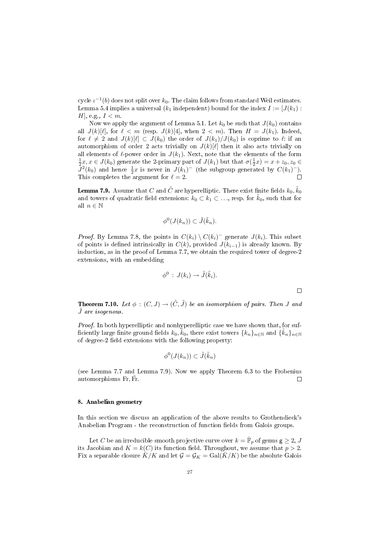cycle  $\iota^{-1}(b)$  does not split over  $k_0$ . The claim follows from standard Weil estimates. Lemma 5.4 implies a universal  $(k_1$  independent) bound for the index  $I := [J(k_1) :$ H, e.g.,  $I < m$ .

Now we apply the argument of Lemma 5.1. Let  $k_0$  be such that  $J(k_0)$  contains all  $J(k)[\ell]$ , for  $\ell < m$  (resp.  $J(k)[4]$ , when  $2 < m$ ). Then  $H = J(k_1)$ . Indeed, for  $\ell \neq 2$  and  $J(k)[\ell] \subset J(k_0)$  the order of  $J(k_1)/J(k_0)$  is coprime to  $\ell$ : if an automorphism of order 2 acts trivially on  $J(k)[\ell]$  then it also acts trivially on all elements of  $\ell$ -power order in  $J(k_1)$ . Next, note that the elements of the form  $\frac{1}{2}x, x \in J(k_0)$  generate the 2-primary part of  $J(k_1)$  but that  $\sigma(\frac{1}{2}x) = x + z_0, z_0 \in$  $\tilde{J}^2(k_0)$  and hence  $\frac{1}{2}x$  is never in  $J(k_1)^-$  (the subgroup generated by  $C(k_1)^-$ ). This completes the argument for  $\ell = 2$ .  $\Box$ 

**Lemma 7.9.** Assume that  $C$  and  $\tilde{C}$  are hyperelliptic. There exist finite fields  $k_0, \tilde{k}_0$ and towers of quadratic field extensions:  $k_0 \text{ }\subset k_1 \text{ }\subset \text{ } \ldots$ , resp. for  $k_0$ , such that for all  $n\in\mathbb{N}$ 

$$
\phi^0(J(k_n)) \subset \tilde{J}(\tilde{k}_n).
$$

*Proof.* By Lemma 7.8, the points in  $C(k_i) \setminus C(k_i)^-$  generate  $J(k_i)$ . This subset of points is defined intrinsically in  $C(k)$ , provided  $J(k_{i-1})$  is already known. By induction, as in the proof of Lemma 7.7, we obtain the required tower of degree-2 extensions, with an embedding

$$
\phi^0: J(k_i) \to \tilde{J}(\tilde{k}_i).
$$

 $\Box$ 

**Theorem 7.10.** Let  $\phi : (C, J) \rightarrow (\tilde{C}, \tilde{J})$  be an isomorphism of pairs. Then J and J˜ are isogenous.

Proof. In both hyperelliptic and nonhyperelliptic case we have shown that, for sufficiently large finite ground fields  $k_0, \tilde{k}_0$ , there exist towers  $\{k_n\}_{n\in\mathbb{N}}$  and  $\{\tilde{k}_n\}_{n\in\mathbb{N}}$ of degree-2 field extensions with the following property:

$$
\phi^0(J(k_n))\subset \tilde{J}(\tilde{k}_n)
$$

(see Lemma 7.7 and Lemma 7.9). Now we apply Theorem 6.3 to the Frobenius automorphisms Fr, Fr.  $\Box$ 

### 8. Anabelian geometry

In this section we discuss an application of the above results to Grothendieck's Anabelian Program - the reconstruction of function fields from Galois groups.

Let  $C$  be an irreducible smooth projective curve over  $k = \bar{\mathbb{F}}_p$  of genus  $\mathsf{g} \geq 2,\, J$ its Jacobian and  $K = k(C)$  its function field. Throughout, we assume that  $p > 2$ . Fix a separable closure  $\bar{K}/K$  and let  $\mathcal{G} = \mathcal{G}_K = \text{Gal}(K/K)$  be the absolute Galois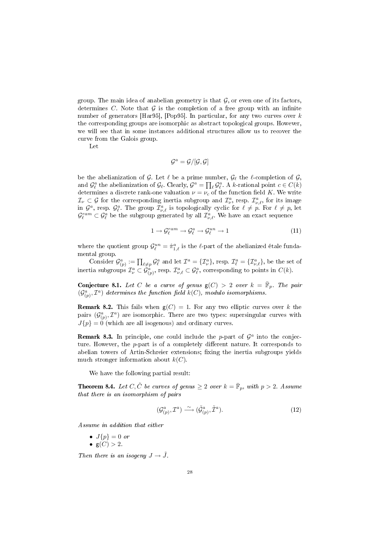group. The main idea of anabelian geometry is that  $G$ , or even one of its factors, determines C. Note that  $\mathcal G$  is the completion of a free group with an infinite number of generators [Har95], [Pop95]. In particular, for any two curves over k the corresponding groups are isomorphic as abstract topological groups. However, we will see that in some instances additional structures allow us to recover the curve from the Galois group.

Let

$$
\mathcal{G}^a = \mathcal{G}/[\mathcal{G}, \mathcal{G}]
$$

be the abelianization of  $\mathcal G$ . Let  $\ell$  be a prime number,  $\mathcal G_\ell$  the  $\ell$ -completion of  $\mathcal G$ , and  $\mathcal{G}_{\ell}^a$  the abelianization of  $\mathcal{G}_{\ell}$ . Clearly,  $\mathcal{G}^a = \prod_{\ell} \mathcal{G}_{\ell}^a$ . A k-rational point  $c \in C(k)$ determines a discrete rank-one valuation  $\nu = \nu_c$  of the function field K. We write  $\mathcal{I}_{\nu} \subset \mathcal{G}$  for the corresponding inertia subgroup and  $\mathcal{I}_{\nu}^a$ , resp.  $\mathcal{I}_{\nu,\ell}^a$ , for its image in  $\mathcal{G}^a$ , resp.  $\mathcal{G}^a_\ell$ . The group  $\mathcal{I}^a_{\nu,\ell}$  is topologically cyclic for  $\ell \neq p$ . For  $\ell \neq p$ , let  $\mathcal{G}^{ram}_{\ell} \subset \mathcal{G}^{a}_{\ell}$  be the subgroup generated by all  $\mathcal{I}^{a}_{\nu,\ell}$ . We have an exact sequence

$$
1 \to \mathcal{G}_{\ell}^{ram} \to \mathcal{G}_{\ell}^{a} \to \mathcal{G}_{\ell}^{un} \to 1
$$
\n(11)

where the quotient group  $\mathcal{G}_{\ell}^{un} = \hat{\pi}_{1,\ell}^a$  is the  $\ell$ -part of the abelianized étale fundamental group.

Consider  $\mathcal{G}^a_{(p)} := \prod_{\ell \neq p} \mathcal{G}^a_{\ell}$  and let  $\mathcal{I}^a = {\{\mathcal{I}^a_{\nu}\}}$ , resp.  $\mathcal{I}^a_{\ell} = {\{\mathcal{I}^a_{\nu,\ell}\}}$ , be the set of inertia subgroups  $\mathcal{I}^a_\nu\subset\mathcal{G}^a_{(p)},$  resp.  $\mathcal{I}^a_{\nu,\ell}\subset\mathcal{G}^a_\ell$ , corresponding to points in  $C(k)$ .

**Conjecture 8.1.** Let C be a curve of genus  $g(C) > 2$  over  $k = \overline{\mathbb{F}}_p$ . The pair  $(\mathcal{G}^a_{(p)}, \mathcal{I}^a)$  determines the function field  $k(C)$ , modulo isomorphisms.

**Remark 8.2.** This fails when  $g(C) = 1$ . For any two elliptic curves over k the pairs  $(\mathcal{G}^a_{(p)}, \mathcal{I}^a)$  are isomorphic. There are two types: supersingular curves with  $J{p} = 0$  (which are all isogenous) and ordinary curves.

**Remark 8.3.** In principle, one could include the p-part of  $\mathcal{G}^a$  into the conjecture. However, the  $p$ -part is of a completely different nature. It corresponds to abelian towers of Artin-Schreier extensions; fixing the inertia subgroups yields much stronger information about  $k(C)$ .

We have the following partial result:

**Theorem 8.4.** Let C,  $\tilde{C}$  be curves of genus  $\geq 2$  over  $k = \bar{\mathbb{F}}_p$ , with  $p > 2$ . Assume that there is an isomorphism of pairs

$$
(\mathcal{G}^a_{(p)}, \mathcal{I}^a) \stackrel{\sim}{\longrightarrow} (\tilde{\mathcal{G}}^a_{(p)}, \tilde{\mathcal{I}}^a). \tag{12}
$$

Assume in addition that either

- $J{p} = 0$  or
- $g(C) > 2$ .

Then there is an isogeny  $J \to \tilde{J}$ .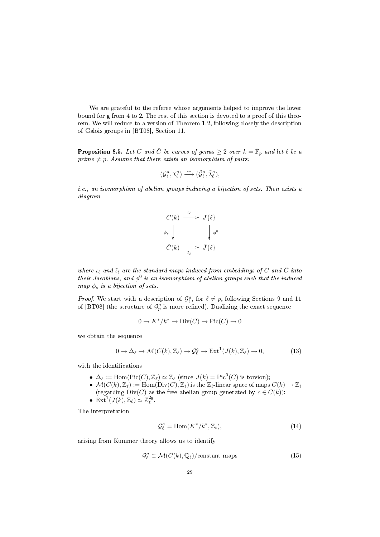We are grateful to the referee whose arguments helped to improve the lower bound for g from 4 to 2. The rest of this section is devoted to a proof of this theorem. We will reduce to a version of Theorem 1.2, following closely the description of Galois groups in [BT08], Section 11.

**Proposition 8.5.** Let C and  $\tilde{C}$  be curves of genus  $\geq 2$  over  $k = \bar{\mathbb{F}}_p$  and let  $\ell$  be a prime  $\neq p$ . Assume that there exists an isomorphism of pairs:

$$
(\mathcal{G}_{\ell}^a,\mathcal{I}_{\ell}^a)\overset{\sim}{\longrightarrow} (\tilde{\mathcal{G}}_{\ell}^a,\tilde{\mathcal{I}}_{\ell}^a),
$$

i.e., an isomorphism of abelian groups inducing a bijection of sets. Then exists a diagram



where  $\iota_{\ell}$  and  $\tilde{\iota}_{\ell}$  are the standard maps induced from embeddings of C and  $\tilde{C}$  into their Jacobians, and  $\phi^0$  is an isomorphism of abelian groups such that the induced map  $\phi_s$  is a bijection of sets.

*Proof.* We start with a description of  $\mathcal{G}_{\ell}^a$ , for  $\ell \neq p$ , following Sections 9 and 11 of [BT08] (the structure of  $\mathcal{G}_p^a$  is more refined). Dualizing the exact sequence

$$
0 \to K^*/k^* \to \text{Div}(C) \to \text{Pic}(C) \to 0
$$

we obtain the sequence

$$
0 \to \Delta_{\ell} \to \mathcal{M}(C(k), \mathbb{Z}_{\ell}) \to \mathcal{G}_{\ell}^{a} \to \text{Ext}^{1}(J(k), \mathbb{Z}_{\ell}) \to 0,
$$
\n(13)

with the identifications

- $\Delta_{\ell} := \text{Hom}(\text{Pic}(C), \mathbb{Z}_{\ell}) \simeq \mathbb{Z}_{\ell}$  (since  $J(k) = \text{Pic}^0(C)$  is torsion);
- $\mathcal{M}(C(k),\mathbb{Z}_\ell) := \text{Hom}(\text{Div}(C),\mathbb{Z}_\ell)$  is the  $\mathbb{Z}_\ell$ -linear space of maps  $C(k) \to \mathbb{Z}_\ell$ (regarding  $Div(C)$  as the free abelian group generated by  $c \in C(k)$ );
- Ext<sup>1</sup> $(J(k), \mathbb{Z}_\ell) \simeq \mathbb{Z}_\ell^{2g}$ .

The interpretation

$$
\mathcal{G}_{\ell}^{a} = \text{Hom}(K^*/k^*, \mathbb{Z}_{\ell}),\tag{14}
$$

arising from Kummer theory allows us to identify

$$
\mathcal{G}_{\ell}^{a} \subset \mathcal{M}(C(k), \mathbb{Q}_{\ell})/\text{constant maps}
$$
 (15)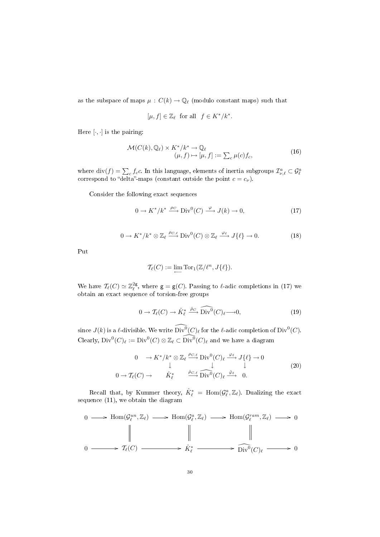as the subspace of maps  $\mu\,:\,C(k)\to\mathbb{Q}_\ell$  (modulo constant maps) such that

$$
[\mu, f] \in \mathbb{Z}_{\ell} \quad \text{for all} \quad f \in K^*/k^*.
$$

Here  $[\cdot, \cdot]$  is the pairing:

$$
\mathcal{M}(C(k), \mathbb{Q}_{\ell}) \times K^* / k^* \to \mathbb{Q}_{\ell}
$$
  

$$
(\mu, f) \mapsto [\mu, f] := \sum_{c} \mu(c) f_c,
$$
 (16)

where div( $f$ ) =  $\sum_c f_c$ c. In this language, elements of inertia subgroups  $\mathcal{I}_{\nu,\ell}^a \subset \mathcal{G}_{\ell}^a$  correspond to "delta"-maps (constant outside the point  $c = c_{\nu}$ ).

Consider the following exact sequences

$$
0 \to K^*/k^* \xrightarrow{\rho_C} \text{Div}^0(C) \xrightarrow{\varphi} J(k) \to 0,
$$
\n(17)

$$
0 \to K^*/k^* \otimes \mathbb{Z}_{\ell} \xrightarrow{\rho_{C,\ell}} \mathrm{Div}^0(C) \otimes \mathbb{Z}_{\ell} \xrightarrow{\varphi_{\ell}} J\{\ell\} \to 0. \tag{18}
$$

Put

$$
\mathcal{T}_{\ell}(C) := \lim \text{Tor}_1(\mathbb{Z}/\ell^n, J\{\ell\}).
$$

We have  $\mathcal{T}_{\ell}(C) \simeq \mathbb{Z}_{\ell}^{2g}$ , where  $\mathsf{g} = \mathsf{g}(C)$ . Passing to  $\ell$ -adic completions in (17) we obtain an exact sequence of torsion-free groups

$$
0 \to \mathcal{T}_{\ell}(C) \to \hat{K}_{\ell}^* \xrightarrow{\hat{\rho}_C} \widehat{\mathrm{Div}^0}(C)_{\ell} \longrightarrow 0,
$$
\n(19)

since  $J(k)$  is a  $\ell$ -divisible. We write  $\widehat{\operatorname{Div}^0}(C)_\ell$  for the  $\ell$ -adic completion of  $\operatorname{Div}^0(C).$ Clearly,  $Div^0(C)_\ell := Div^0(C) \otimes \mathbb{Z}_\ell \subset \widehat{Div^0(C)_\ell}$  and we have a diagram

$$
0 \to K^*/k^* \otimes \mathbb{Z}_{\ell} \xrightarrow{\rho_{C,\ell}} \text{Div}^0(C)_{\ell} \xrightarrow{\varphi_{\ell}} J\{\ell\} \to 0
$$
  

$$
0 \to \mathcal{T}_{\ell}(C) \to \hat{K}_{\ell}^* \qquad \xrightarrow{\hat{\rho}_{C,\ell}} \widehat{\text{Div}^0}(C)_{\ell} \xrightarrow{\hat{\varphi}_{\ell}} 0.
$$
 (20)

Recall that, by Kummer theory,  $\hat{K}_{\ell}^* = \text{Hom}(\mathcal{G}_{\ell}^a, \mathbb{Z}_{\ell})$ . Dualizing the exact sequence (11), we obtain the diagram

$$
0 \longrightarrow \text{Hom}(\mathcal{G}_{\ell}^{un}, \mathbb{Z}_{\ell}) \longrightarrow \text{Hom}(\mathcal{G}_{\ell}^{a}, \mathbb{Z}_{\ell}) \longrightarrow \text{Hom}(\mathcal{G}_{\ell}^{ram}, \mathbb{Z}_{\ell}) \longrightarrow 0
$$
  

$$
\parallel \qquad \qquad \parallel \qquad \qquad \parallel
$$
  

$$
0 \longrightarrow \mathcal{T}_{\ell}(C) \longrightarrow \hat{K}_{\ell}^{*} \longrightarrow \widehat{\text{Div}^{0}}(C)_{\ell} \longrightarrow 0
$$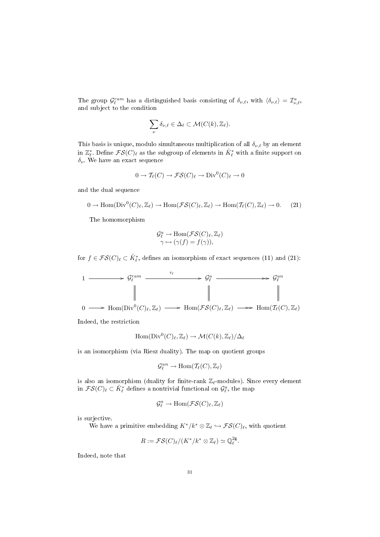The group  $\mathcal{G}_{\ell}^{ram}$  has a distinguished basis consisting of  $\delta_{\nu,\ell}$ , with  $\langle \delta_{\nu,\ell} \rangle = \mathcal{I}_{\nu,\ell}^a$ , and subject to the condition

$$
\sum_{\nu} \delta_{\nu,\ell} \in \Delta_{\ell} \subset \mathcal{M}(C(k), \mathbb{Z}_{\ell}).
$$

This basis is unique, modulo simultaneous multiplication of all  $\delta_{\nu,\ell}$  by an element in  $\mathbb{Z}_{\ell}^*$ . Define  $\mathcal{FS}(C)_{\ell}$  as the subgroup of elements in  $\hat{K}_{\ell}^*$  with a finite support on  $\delta_{\nu}$ . We have an exact sequence

$$
0 \to \mathcal{T}_{\ell}(C) \to \mathcal{FS}(C)_{\ell} \to \text{Div}^0(C)_{\ell} \to 0
$$

and the dual sequence

$$
0 \to \text{Hom}(\text{Div}^0(C)_{\ell}, \mathbb{Z}_{\ell}) \to \text{Hom}(\mathcal{FS}(C)_{\ell}, \mathbb{Z}_{\ell}) \to \text{Hom}(\mathcal{T}_{\ell}(C), \mathbb{Z}_{\ell}) \to 0. \tag{21}
$$

The homomorphism

$$
\mathcal{G}_{\ell}^{a} \to \text{Hom}(\mathcal{FS}(C)_{\ell}, \mathbb{Z}_{\ell})
$$

$$
\gamma \mapsto (\gamma(f) = f(\gamma)),
$$

for  $f \in \mathcal{FS}(C)_\ell \subset \hat{K}_\ell^*$ , defines an isomorphism of exact sequences (11) and (21):

$$
\begin{array}{ccc}\n1 & \xrightarrow{\hspace{1cm}} & \mathcal{G}_{\ell}^{ram} \xrightarrow{\tau_{\ell}} & \xrightarrow{\hspace{1cm}} & \mathcal{G}_{\ell}^{a} \xrightarrow{\hspace{1cm}} & \mathcal{G}_{\ell}^{un} \\
\parallel & & \qquad \qquad \parallel & \qquad \qquad \parallel & \qquad \qquad \parallel \\
0 & \longrightarrow \text{Hom}(\text{Div}^{0}(C)_{\ell}, \mathbb{Z}_{\ell}) \xrightarrow{\hspace{1cm}} & \text{Hom}(\mathcal{FS}(C)_{\ell}, \mathbb{Z}_{\ell}) \xrightarrow{\hspace{1cm}} & \text{Hom}(\mathcal{T}_{\ell}(C), \mathbb{Z}_{\ell})\n\end{array}
$$

Indeed, the restriction

$$
\mathrm{Hom}(\mathrm{Div}^0(C)_\ell,\mathbb{Z}_\ell)\to\mathcal{M}(C(k),\mathbb{Z}_\ell)/\Delta_\ell
$$

is an isomorphism (via Riesz duality). The map on quotient groups

$$
\mathcal{G}_\ell^{un} \to \text{Hom}(\mathcal{T}_\ell(C), \mathbb{Z}_\ell)
$$

is also an isomorphism (duality for finite-rank  $\mathbb{Z}_{\ell}$ -modules). Since every element in  $\mathcal{FS}(C)_{\ell} \subset \hat{K}_{\ell}^*$  defines a nontrivial functional on  $\mathcal{G}_{\ell}^a$ , the map

$$
\mathcal{G}_\ell^a \to \mathrm{Hom}(\mathcal{FS}(C)_\ell,\mathbb{Z}_\ell)
$$

is surjective.

We have a primitive embedding  $K^*/k^* \otimes \mathbb{Z}_\ell \hookrightarrow \mathcal{FS}(C)_\ell$ , with quotient

$$
R:=\mathcal{FS}(C)_{\ell}/(K^*/k^*\otimes\mathbb{Z}_{\ell})\simeq\mathbb{Q}_{\ell}^{2\mathsf{g}}.
$$

Indeed, note that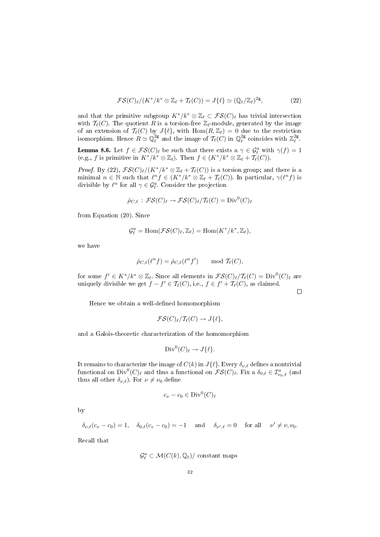$$
\mathcal{FS}(C)_{\ell}/(K^*/k^* \otimes \mathbb{Z}_{\ell} + \mathcal{T}_{\ell}(C)) = J\{\ell\} \simeq (\mathbb{Q}_{\ell}/\mathbb{Z}_{\ell})^{2g},\tag{22}
$$

and that the primitive subgroup  $K^*/k^* \otimes \mathbb{Z}_\ell \subset \mathcal{FS}(C)_\ell$  has trivial intersection with  $\mathcal{T}_{\ell}(C)$ . The quotient R is a torsion-free  $\mathbb{Z}_{\ell}$ -module, generated by the image of an extension of  $\mathcal{T}_{\ell}(C)$  by  $J\{\ell\}$ , with  $\text{Hom}(R,\mathbb{Z}_{\ell}) = 0$  due to the restriction isomorphism. Hence  $R \simeq \mathbb{Q}_\ell^{2g}$  and the image of  $\mathcal{T}_\ell(C)$  in  $\mathbb{Q}_\ell^{2g}$  coincides with  $\mathbb{Z}_\ell^{2g}$ .

**Lemma 8.6.** Let  $f \in \mathcal{FS}(C)_{\ell}$  be such that there exists a  $\gamma \in \mathcal{G}_{\ell}^a$  with  $\gamma(f) = 1$ (e.g., f is primitive in  $K^*/k^* \otimes \mathbb{Z}_\ell$ ). Then  $f \in (K^*/k^* \otimes \mathbb{Z}_\ell + \mathcal{T}_\ell(C))$ .

*Proof.* By (22),  $\mathcal{FS}(C)_{\ell}/(K^*/k^* \otimes \mathbb{Z}_{\ell} + \mathcal{T}_{\ell}(C))$  is a torsion group; and there is a minimal  $n \in \mathbb{N}$  such that  $\ell^n f \in (K^*/k^* \otimes \mathbb{Z}_\ell + \mathcal{T}_\ell(C))$ . In particular,  $\gamma(\ell^n f)$  is divisible by  $\ell^n$  for all  $\gamma \in \mathcal{G}_{\ell}^a$ . Consider the projection

$$
\hat{\rho}_{C,\ell} : \mathcal{FS}(C)_{\ell} \to \mathcal{FS}(C)_{\ell}/T_{\ell}(C) = \text{Div}^{0}(C)_{\ell}
$$

from Equation (20). Since

$$
\mathcal{G}_{\ell}^{a} = \text{Hom}(\mathcal{FS}(C)_{\ell}, \mathbb{Z}_{\ell}) = \text{Hom}(K^*/k^*, \mathbb{Z}_{\ell}),
$$

we have

$$
\hat{\rho}_{C,\ell}(\ell^n f) = \hat{\rho}_{C,\ell}(\ell^n f') \quad \text{mod } \mathcal{T}_{\ell}(C),
$$

for some  $f' \in K^*/k^* \otimes \mathbb{Z}_\ell$ . Since all elements in  $\mathcal{FS}(C)_\ell/\mathcal{T}_\ell(C) = \text{Div}^0(C)_\ell$  are uniquely divisible we get  $f - f' \in \mathcal{T}_{\ell}(C)$ , i.e.,  $f \in f' + \mathcal{T}_{\ell}(C)$ , as claimed.

 $\Box$ 

Hence we obtain a well-defined homomorphism

$$
\mathcal{FS}(C)_{\ell}/\mathcal{T}_{\ell}(C) \to J\{\ell\},
$$

and a Galois-theoretic characterization of the homomorphism

$$
\text{Div}^0(C)_{\ell} \to J\{\ell\}.
$$

It remains to characterize the image of  $C(k)$  in  $J\{\ell\}$ . Every  $\delta_{\nu,\ell}$  defines a nontrivial functional on  $Div^0(C)_\ell$  and thus a functional on  $\mathcal{FS}(C)_\ell$ . Fix a  $\delta_{0,\ell} \in \mathcal{I}^a_{\nu_0,\ell}$  (and thus all other  $\delta_{\nu,\ell}$ ). For  $\nu \neq \nu_0$  define

$$
c_{\nu} - c_0 \in \text{Div}^0(C)_{\ell}
$$

by

$$
\delta_{\nu,\ell}(c_{\nu}-c_0)=1,\quad \delta_{0,\ell}(c_{\nu}-c_0)=-1\quad \text{ and }\quad \delta_{\nu',\ell}=0\quad \text{ for all }\quad \nu'\neq \nu,\nu_0.
$$

Recall that

$$
\mathcal{G}_{\ell}^a \subset \mathcal{M}(C(k), \mathbb{Q}_{\ell})/\text{ constant maps}
$$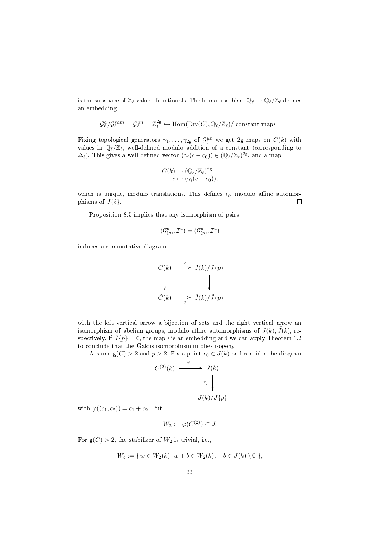is the subspace of  $\mathbb{Z}_{\ell}$ -valued functionals. The homomorphism  $\mathbb{Q}_{\ell} \to \mathbb{Q}_{\ell}/\mathbb{Z}_{\ell}$  defines an embedding

$$
\mathcal{G}_{\ell}^{a}/\mathcal{G}_{\ell}^{ram} = \mathcal{G}_{\ell}^{un} = \mathbb{Z}_{\ell}^{2g} \hookrightarrow \text{Hom}(\text{Div}(C), \mathbb{Q}_{\ell}/\mathbb{Z}_{\ell})/\text{ constant maps}.
$$

Fixing topological generators  $\gamma_1, \ldots, \gamma_{2g}$  of  $\mathcal{G}_{\ell}^{un}$  we get 2g maps on  $C(k)$  with values in  $\mathbb{Q}_{\ell}/\mathbb{Z}_{\ell}$ , well-defined modulo addition of a constant (corresponding to  $\Delta_{\ell}$ ). This gives a well-defined vector  $(\gamma_i(c - c_0)) \in (\mathbb{Q}_{\ell}/\mathbb{Z}_{\ell})^{2g}$ , and a map

$$
C(k) \to (\mathbb{Q}_{\ell}/\mathbb{Z}_{\ell})^{2g}
$$

$$
c \mapsto (\gamma_i(c - c_0)),
$$

which is unique, modulo translations. This defines  $\iota_{\ell}$ , modulo affine automorphisms of  $J\{\ell\}.$  $\Box$ 

Proposition 8.5 implies that any isomorphism of pairs

$$
(\mathcal{G}^{a}_{(p)},\mathcal{I}^{a})=(\tilde{\mathcal{G}}^{a}_{(p)},\tilde{\mathcal{I}}^{a})
$$

induces a commutative diagram

$$
C(k) \xrightarrow{\iota} J(k)/J\{p\}
$$
  
\n
$$
\downarrow \qquad \qquad \downarrow
$$
  
\n
$$
\tilde{C}(k) \xrightarrow{\iota} \tilde{J}(k)/\tilde{J}\{p\}
$$

with the left vertical arrow a bijection of sets and the right vertical arrow an isomorphism of abelian groups, modulo affine automorphisms of  $J(k)$ ,  $\tilde{J}(k)$ , respectively. If  $J{p} = 0$ , the map  $\iota$  is an embedding and we can apply Theorem 1.2 to conclude that the Galois isomorphism implies isogeny.

Assume  $g(C) > 2$  and  $p > 2$ . Fix a point  $c_0 \in J(k)$  and consider the diagram

$$
C^{(2)}(k) \xrightarrow{\varphi} J(k)
$$

$$
\pi_p \downarrow
$$

$$
J(k)/J\{p\}
$$

with  $\varphi((c_1, c_2)) = c_1 + c_2$ . Put

$$
W_2 := \varphi(C^{(2)}) \subset J.
$$

For  $g(C) > 2$ , the stabilizer of  $W_2$  is trivial, i.e.,

$$
W_b := \{ w \in W_2(k) | w + b \in W_2(k), \quad b \in J(k) \setminus 0 \},
$$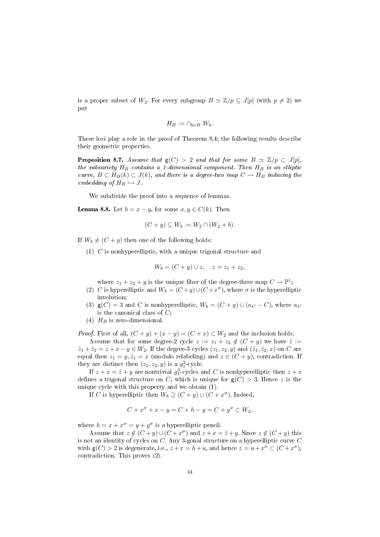is a proper subset of  $W_2$ . For every subgroup  $B \simeq \mathbb{Z}/p \subseteq J[p]$  (with  $p \neq 2$ ) we put

$$
H_B := \cap_{b \in B} W_b.
$$

These loci play a role in the proof of Theorem 8.4; the following results describe their geometric properties.

**Proposition 8.7.** Assume that  $g(C) > 2$  and that for some  $B \simeq \mathbb{Z}/p \subset J[p],$ the subvariety  $H_B$  contains a 1-dimensional component. Then  $H_B$  is an elliptic curve,  $B \subset H_B(k) \subset J(k)$ , and there is a degree-two map  $C \to H_B$  inducing the embedding of  $H_B \hookrightarrow J$ .

We subdivide the proof into a sequence of lemmas.

**Lemma 8.8.** Let  $b = x - y$ , for some  $x, y \in C(k)$ . Then

$$
(C + y) \subseteq W_b := W_2 \cap (W_2 + b).
$$

If  $W_b \neq (C + y)$  then one of the following holds:

(1)  $C$  is nonhyperelliptic, with a unique trigonal structure and

$$
W_b = (C + y) \cup z, \quad z = z_1 + z_2,
$$

where  $z_1 + z_2 + y$  is the unique fiber of the degree-three map  $C \to \mathbb{P}^1$ ;

- (2) C is hyperelliptic and  $W_b = (C+y) \cup (C+x^{\sigma})$ , where  $\sigma$  is the hyperelliptic involution;
- (3)  $g(C) = 3$  and C is nonhyperelliptic,  $W_b = (C + y) \cup (\kappa_C C)$ , where  $\kappa_C$ is the canonical class of  $C$ ;
- (4)  $H_B$  is zero-dimensional.

*Proof.* First of all,  $(C + y) + (x - y) = (C + x) \subset W_2$  and the inclusion holds.

Assume that for some degree-2 cycle  $z := z_1 + z_2 \notin (C + y)$  we have  $\tilde{z} := z_1 + z_2 \notin (C + y)$  $\tilde{z}_1 + \tilde{z}_2 = z + x - y \in W_2$ . If the degree-3 cycles  $(z_1, z_2, y)$  and  $(\tilde{z}_1, \tilde{z}_2, x)$  on C are equal then  $z_1 = y, \tilde{z}_1 = x$  (modulo relabeling) and  $z \in (C + y)$ , contradiction. If they are distinct then  $(z_1, z_2, y)$  is a  $g_1^3$ -cycle.

If  $z + x = \tilde{z} + y$  are nontrivial  $g_1^3$ -cycles and C is nonhyperelliptic then  $z + x$ defines a trigonal structure on C, which is unique for  $g(C) > 3$ . Hence z is the unique cycle with this property and we obtain (1).

If C is hyperelliptic then  $W_b \supseteq (C + y) \cup (C + x^{\sigma})$ . Indeed,

$$
C + x^{\sigma} + x - y = C + h - y = C + y^{\sigma} \subset W_2,
$$

where  $h = x + x^{\sigma} = y + y^{\sigma}$  is a hyperelliptic pencil.

Assume that  $z \notin (C + y) \cup (C + x^{\sigma})$  and  $z + x = \tilde{z} + y$ . Since  $z \notin (C + y)$  this is not an identity of cycles on C. Any 3-gonal structure on a hyperelliptic curve C with  $g(C) > 2$  is degenerate, i.e.,  $z + x = h + u$ , and hence  $z = u + x^{\sigma} \subset (C + x^{\sigma})$ , contradiction. This proves (2).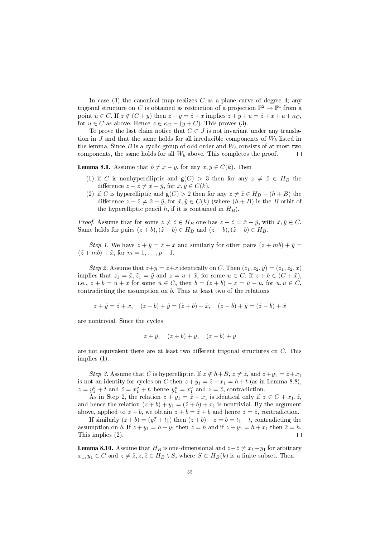In case  $(3)$  the canonical map realizes C as a plane curve of degree 4; any trigonal structure on  $C$  is obtained as restriction of a projection  $\mathbb{P}^2 \to \mathbb{P}^1$  from a point  $u \in C$ . If  $z \notin (C + y)$  then  $z + y = \tilde{z} + x$  implies  $z + y + u = \tilde{z} + x + u + \kappa_C$ , for  $u \in C$  as above. Hence  $z \in \kappa_C - (y + C)$ . This proves (3).

To prove the last claim notice that  $C \subset J$  is not invariant under any translation in J and that the same holds for all irreducible components of  $W<sub>b</sub>$  listed in the lemma. Since B is a cyclic group of odd order and  $W_b$  consists of at most two components, the same holds for all  $W_b$  above. This completes the proof.  $\Box$ 

**Lemma 8.9.** Assume that  $b \neq x - y$ , for any  $x, y \in C(k)$ . Then

- (1) if C is nonhyperelliptic and  $g(C) > 3$  then for any  $z \neq \tilde{z} \in H_B$  the difference  $z - \tilde{z} \neq \tilde{x} - \tilde{y}$ , for  $\tilde{x}, \tilde{y} \in C(k)$ .
- (2) if C is hyperelliptic and  $g(C) > 2$  then for any  $z \neq \tilde{z} \in H_B (h + B)$  the difference  $z - \tilde{z} \neq \tilde{x} - \tilde{y}$ , for  $\tilde{x}, \tilde{y} \in C(k)$  (where  $(h + B)$ ) is the B-orbit of the hyperelliptic pencil h, if it is contained in  $H_B$ ).

*Proof.* Assume that for some  $z \neq \tilde{z} \in H_B$  one has  $z - \tilde{z} = \tilde{x} - \tilde{y}$ , with  $\tilde{x}, \tilde{y} \in C$ . Same holds for pairs  $(z + b), (\tilde{z} + b) \in H_B$  and  $(z - b), (\tilde{z} - b) \in H_B$ .

Step 1. We have  $z + \tilde{y} = \tilde{z} + \tilde{x}$  and similarly for other pairs  $(z + mb) + \tilde{y} =$  $(\tilde{z} + mb) + \tilde{x}$ , for  $m = 1, ..., p - 1$ .

Step 2. Assume that  $z+\tilde{y}=\tilde{z}+\tilde{x}$  identically on C. Then  $(z_1, z_2, \tilde{y})=(\tilde{z}_1, \tilde{z}_2, \tilde{x})$ implies that  $z_1 = \tilde{x}, \tilde{z}_1 = \tilde{y}$  and  $z = u + \tilde{x}$ , for some  $u \in C$ . If  $z + b \in (C + \tilde{x})$ , i.e.,  $z + b = \tilde{u} + \tilde{x}$  for some  $\tilde{u} \in C$ , then  $b = (z + b) - z = \tilde{u} - u$ , for  $u, \tilde{u} \in C$ , contradicting the assumption on  $b$ . Thus at least two of the relations

$$
z + \tilde{y} = \tilde{z} + x, \quad (z + b) + \tilde{y} = (\tilde{z} + b) + \tilde{x}, \quad (z - b) + \tilde{y} = (\tilde{z} - b) + \tilde{x}
$$

are nontrivial. Since the cycles

$$
z + \tilde{y}, \quad (z + b) + \tilde{y}, \quad (z - b) + \tilde{y}
$$

are not equivalent there are at least two different trigonal structures on  $C$ . This implies (1).

Step 3. Assume that C is hyperelliptic. If  $z \notin h+B$ ,  $z \neq \tilde{z}$ , and  $z+y_1 = \tilde{z}+x_1$ is not an identity for cycles on C then  $z + y_1 = \tilde{z} + x_1 = h + t$  (as in Lemma 8.8),  $z = y_1^{\sigma} + t$  and  $\tilde{z} = x_1^{\sigma} + t$ , hence  $y_1^{\sigma} = x_1^{\sigma}$  and  $z = \tilde{z}$ , contradiction.

As in Step 2, the relation  $z + y_1 = \tilde{z} + x_1$  is identical only if  $z \in C + x_1, \tilde{z}$ , and hence the relation  $(z + b) + y_1 = (\tilde{z} + b) + x_1$  is nontrivial. By the argument above, applied to  $z + b$ , we obtain  $z + b = \tilde{z} + b$  and hence  $z = \tilde{z}$ , contradiction.

If similarly  $(z + b) = (y_1^{\sigma} + t_1)$  then  $(z + b) - z = b = t_1 - t$ , contradicting the assumption on b. If  $z + y_1 = h + y_1$  then  $z = h$  and if  $z + y_1 = h + x_1$  then  $\tilde{z} = h$ . This implies (2).  $\Box$ 

**Lemma 8.10.** Assume that  $H_B$  is one-dimensional and  $z-\tilde{z} \neq x_1-y_1$  for arbitrary  $x_1, y_1 \in C$  and  $z \neq \tilde{z}, z, \tilde{z} \in H_B \setminus S$ , where  $S \subset H_B(k)$  is a finite subset. Then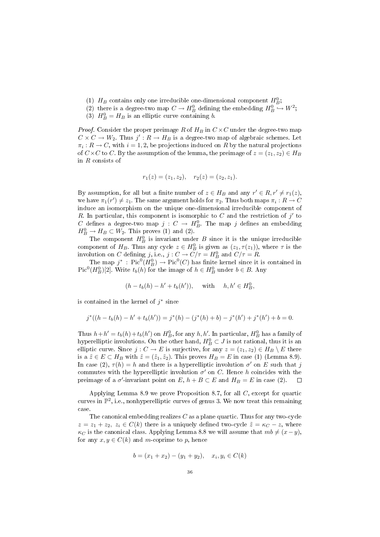- (1)  $H_B$  contains only one irreducible one-dimensional component  $H_B^0$ ;
- (2) there is a degree-two map  $C \to H_B^0$  defining the embedding  $H_B^0 \hookrightarrow W^2$ ;
- (3)  $H_B^0 = H_B$  is an elliptic curve containing *b*.

*Proof.* Consider the proper preimage R of  $H_B$  in  $C \times C$  under the degree-two map  $C \times C \rightarrow W_2$ . Thus  $j' : R \rightarrow H_B$  is a degree-two map of algebraic schemes. Let  $\pi_i: R \to C$ , with  $i = 1, 2$ , be projections induced on R by the natural projections of  $C \times C$  to C. By the assumption of the lemma, the preimage of  $z = (z_1, z_2) \in H_B$ in R consists of

$$
r_1(z) = (z_1, z_2), \quad r_2(z) = (z_2, z_1).
$$

By assumption, for all but a finite number of  $z \in H_B$  and any  $r' \in R, r' \neq r_1(z)$ , we have  $\pi_1(r') \neq z_1$ . The same argument holds for  $\pi_2$ . Thus both maps  $\pi_i : R \to C$ induce an isomorphism on the unique one-dimensional irreducible component of R. In particular, this component is isomorphic to  $C$  and the restriction of  $j'$  to C defines a degree-two map  $j: C \to H_B^0$ . The map j defines an embedding  $H_B^0 \to H_B \subset W_2$ . This proves (1) and (2).

The component  $H_B^0$  is invariant under B since it is the unique irreducible component of  $H_B$ . Thus any cycle  $z \in H_B^0$  is given as  $(z_1, \tau(z_1))$ , where  $\tau$  is the involution on C defining j, i.e.,  $j: C \to C/\tau = H_B^0$  and  $C/\tau = R$ .

The map  $j^*$ :  $Pic^0(H_B^0) \to Pic^0(C)$  has finite kernel since it is contained in  $\text{Pic}^0(H_B^0)[2]$ . Write  $t_b(h)$  for the image of  $h \in H_B^0$  under  $b \in B$ . Any

$$
(h - t_b(h) - h' + t_b(h')),
$$
 with  $h, h' \in H_B^0$ ,

is contained in the kernel of  $j^*$  since

$$
j^*((h - t_b(h) - h' + t_b(h')) = j^*(h) - (j^*(h) + b) - j^*(h') + j^*(h') + b = 0.
$$

Thus  $h + h' = t_b(h) + t_b(h')$  on  $H_B^0$ , for any  $h, h'$ . In particular,  $H_B^0$  has a family of hyperelliptic involutions. On the other hand,  $H_B^0 \subset J$  is not rational, thus it is an elliptic curve. Since  $j: C \to E$  is surjective, for any  $z = (z_1, z_2) \in H_B \setminus E$  there is a  $\tilde{z} \in E \subset H_B$  with  $\tilde{z} = (\tilde{z}_1, \tilde{z}_2)$ . This proves  $H_B = E$  in case (1) (Lemma 8.9). In case (2),  $\tau(h) = h$  and there is a hyperelliptic involution  $\sigma'$  on E such that j commutes with the hyperelliptic involution  $\sigma'$  on C. Hence h coincides with the preimage of a  $\sigma'$ -invariant point on  $E, h + B \subset E$  and  $H_B = E$  in case (2).  $\Box$ 

Applying Lemma 8.9 we prove Proposition 8.7, for all C, except for quartic curves in  $\mathbb{P}^2$ , i.e., nonhyperelliptic curves of genus 3. We now treat this remaining case.

The canonical embedding realizes  $C$  as a plane quartic. Thus for any two-cycle  $z = z_1 + z_2, z_i \in C(k)$  there is a uniquely defined two-cycle  $\tilde{z} = \kappa_C - z$ , where  $\kappa_C$  is the canonical class. Applying Lemma 8.8 we will assume that  $mb \neq (x-y)$ , for any  $x, y \in C(k)$  and m-coprime to p, hence

$$
b = (x_1 + x_2) - (y_1 + y_2), \quad x_i, y_i \in C(k)
$$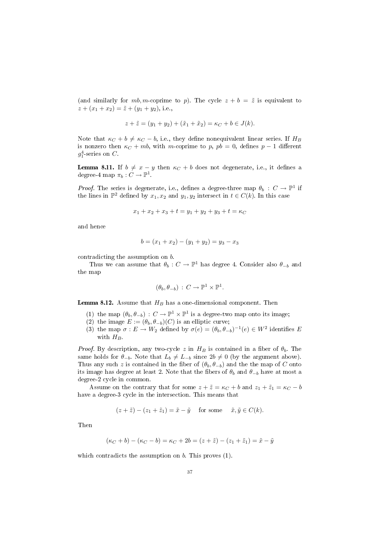(and similarly for  $mb, m$ -coprime to p). The cycle  $z + b = \tilde{z}$  is equivalent to  $z + (x_1 + x_2) = \tilde{z} + (y_1 + y_2),$  i.e.,

$$
z + \tilde{z} = (y_1 + y_2) + (\tilde{x}_1 + \tilde{x}_2) = \kappa_C + b \in J(k).
$$

Note that  $\kappa_C + b \neq \kappa_C - b$ , i.e., they define nonequivalent linear series. If  $H_B$ is nonzero then  $\kappa_C + mb$ , with m-coprime to p,  $pb = 0$ , defines  $p - 1$  different  $g_1^4$ -series on C.

**Lemma 8.11.** If  $b \neq x - y$  then  $\kappa_C + b$  does not degenerate, i.e., it defines a degree-4 map  $\pi_b : C \to \mathbb{P}^1$ .

*Proof.* The series is degenerate, i.e., defines a degree-three map  $\theta_b : C \to \mathbb{P}^1$  if the lines in  $\mathbb{P}^2$  defined by  $x_1, x_2$  and  $y_1, y_2$  intersect in  $t \in C(k)$ . In this case

$$
x_1 + x_2 + x_3 + t = y_1 + y_2 + y_3 + t = \kappa_C
$$

and hence

$$
b = (x_1 + x_2) - (y_1 + y_2) = y_3 - x_3
$$

contradicting the assumption on b.

Thus we can assume that  $\theta_b : C \to \mathbb{P}^1$  has degree 4. Consider also  $\theta_{-b}$  and the map

$$
(\theta_b, \theta_{-b}) \, : \, C \to \mathbb{P}^1 \times \mathbb{P}^1.
$$

**Lemma 8.12.** Assume that  $H_B$  has a one-dimensional component. Then

- (1) the map  $(\theta_b, \theta_{-b}) : C \to \mathbb{P}^1 \times \mathbb{P}^1$  is a degree-two map onto its image;
- (2) the image  $E := (\theta_b, \theta_{-b})(C)$  is an elliptic curve;
- (3) the map  $\sigma: E \to W_2$  defined by  $\sigma(e) = (\theta_b, \theta_{-b})^{-1}(e) \in W^2$  identifies E with  $H_B$ .

*Proof.* By description, any two-cycle z in  $H_B$  is contained in a fiber of  $\theta_b$ . The same holds for  $\theta_{-b}$ . Note that  $L_b \neq L_{-b}$  since  $2b \neq 0$  (by the argument above). Thus any such z is contained in the fiber of  $(\theta_b, \theta_{-b})$  and the the map of C onto its image has degree at least 2. Note that the fibers of  $\theta_b$  and  $\theta_{-b}$  have at most a degree-2 cycle in common.

Assume on the contrary that for some  $z + \tilde{z} = \kappa_C + b$  and  $z_1 + \tilde{z}_1 = \kappa_C - b$ have a degree-3 cycle in the intersection. This means that

$$
(z+\tilde{z})-(z_1+\tilde{z}_1)=\tilde{x}-\tilde{y}
$$
 for some  $\tilde{x}, \tilde{y} \in C(k)$ .

Then

$$
(\kappa_C + b) - (\kappa_C - b) = \kappa_C + 2b = (z + \tilde{z}) - (z_1 + \tilde{z}_1) = \tilde{x} - \tilde{y}
$$

which contradicts the assumption on  $b$ . This proves  $(1)$ .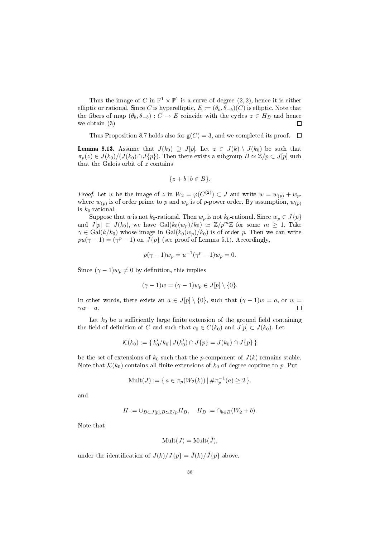Thus the image of C in  $\mathbb{P}^1 \times \mathbb{P}^1$  is a curve of degree  $(2, 2)$ , hence it is either elliptic or rational. Since C is hyperelliptic,  $E := (\theta_b, \theta_{-b})(C)$  is elliptic. Note that the fibers of map  $(\theta_b, \theta_{-b}) : C \to E$  coincide with the cycles  $z \in H_B$  and hence we obtain (3)  $\Box$ 

Thus Proposition 8.7 holds also for  $g(C) = 3$ , and we completed its proof.  $\Box$ 

**Lemma 8.13.** Assume that  $J(k_0) \supseteq J[p]$ . Let  $z \in J(k) \setminus J(k_0)$  be such that  $\pi_p(z) \in J(k_0)/\{J(k_0) \cap J\{p\}\}\)$ . Then there exists a subgroup  $B \simeq \mathbb{Z}/p \subset J[p]$  such that the Galois orbit of z contains

$$
\{z+b \,|\, b\in B\}.
$$

*Proof.* Let w be the image of z in  $W_2 = \varphi(C^{(2)}) \subset J$  and write  $w = w_{(p)} + w_p$ , where  $w_{(p)}$  is of order prime to p and  $w_p$  is of p-power order. By assumption,  $w_{(p)}$ is  $k_0$ -rational.

Suppose that w is not  $k_0$ -rational. Then  $w_p$  is not  $k_0$ -rational. Since  $w_p \in J\{p\}$ and  $J[p] \subset J(k_0)$ , we have  $Gal(k_0(w_p)/k_0) \simeq \mathbb{Z}/p^m\mathbb{Z}$  for some  $m \geq 1$ . Take  $\gamma \in \text{Gal}(k/k_0)$  whose image in  $\text{Gal}(k_0(w_p)/k_0)$  is of order p. Then we can write  $pu(\gamma - 1) = (\gamma^p - 1)$  on  $J\{p\}$  (see proof of Lemma 5.1). Accordingly,

$$
p(\gamma - 1)w_p = u^{-1}(\gamma^p - 1)w_p = 0.
$$

Since  $(\gamma - 1)w_n \neq 0$  by definition, this implies

$$
(\gamma - 1)w = (\gamma - 1)w_p \in J[p] \setminus \{0\}.
$$

In other words, there exists an  $a \in J[p] \setminus \{0\}$ , such that  $(\gamma - 1)w = a$ , or w =  $\gamma w - a$ .  $\Box$ 

Let  $k_0$  be a sufficiently large finite extension of the ground field containing the field of definition of C and such that  $c_0 \in C(k_0)$  and  $J[p] \subset J(k_0)$ . Let

$$
\mathcal{K}(k_0) := \{ k'_0 / k_0 \, | \, J(k'_0) \cap J\{p\} = J(k_0) \cap J\{p\} \}
$$

be the set of extensions of  $k_0$  such that the *p*-component of  $J(k)$  remains stable. Note that  $\mathcal{K}(k_0)$  contains all finite extensions of  $k_0$  of degree coprime to p. Put

$$
\text{Mult}(J) := \{ a \in \pi_p(W_2(k)) \mid \# \pi_p^{-1}(a) \ge 2 \}.
$$

and

$$
H := \cup_{B \subset J[p], B \simeq \mathbb{Z}/p} H_B, \quad H_B := \cap_{b \in B} (W_2 + b).
$$

Note that

$$
Mult(J) = Mult(\tilde{J}),
$$

under the identification of  $J(k)/J\{p\} = \tilde{J}(k)/\tilde{J}\{p\}$  above.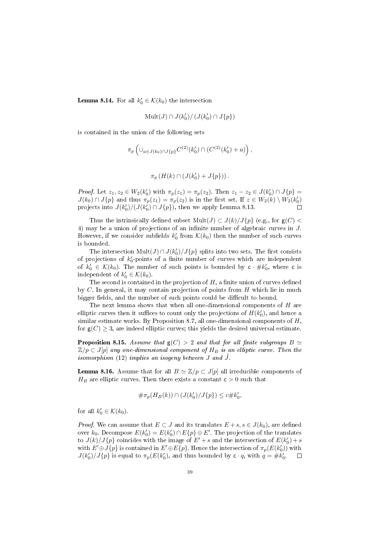**Lemma 8.14.** For all  $k'_0 \in \mathcal{K}(k_0)$  the intersection

$$
\mathrm{Mult}(J)\cap J(k'_0)/\left(J(k'_0)\cap J\{p\}\right)
$$

is contained in the union of the following sets

$$
\pi_p \left( \cup_{a \in J(k_0) \cap J\{p\}} C^{(2)}(k'_0) \cap (C^{(2)}(k'_0) + a) \right),
$$

$$
\pi_p\left(H(k)\cap \left(J(k_0')+J\{p\}\right)\right).
$$

*Proof.* Let  $z_1, z_2 \in W_2(k'_0)$  with  $\pi_p(z_1) = \pi_p(z_2)$ . Then  $z_1 - z_2 \in J(k'_0) \cap J\{p\}$  $J(k_0) \cap J\{p\}$  and thus  $\pi_p(z_1) = \pi_p(z_2)$  is in the first set. If  $z \in W_2(k) \setminus W_2(k'_0)$ projects into  $J(k'_0)/(J(k'_0) \cap J\{p\})$ , then we apply Lemma 8.13.

Thus the intrinsically defined subset  $Mult(J) \subset J(k)/J\{p\}$  (e.g., for  $g(C)$ ) 4) may be a union of projections of an infinite number of algebraic curves in  $J$ . However, if we consider subfields  $k'_0$  from  $\mathcal{K}(k_0)$  then the number of such curves is bounded.

The intersection  $\text{Mult}(J) \cap J(k'_0)/J\{p\}$  splits into two sets. The first consists of projections of  $k'_0$ -points of a finite number of curves which are independent of  $k'_0 \in \mathcal{K}(k_0)$ . The number of such points is bounded by  $c \cdot \# k'_0$ , where c is independent of  $k'_0 \in \mathcal{K}(k_0)$ .

The second is contained in the projection of  $H$ , a finite union of curves defined by C. In general, it may contain projection of points from H which lie in much bigger fields, and the number of such points could be difficult to bound.

The next lemma shows that when all one-dimensional components of  $H$  are elliptic curves then it suffices to count only the projections of  $H(k'_0)$ , and hence a similar estimate works. By Proposition 8.7, all one-dimensional components of  $H$ , for  $g(C) > 3$ , are indeed elliptic curves; this yields the desired universal estimate.

**Proposition 8.15.** Assume that  $g(C) > 2$  and that for all finite subgroups  $B \simeq$  $\mathbb{Z}/p \subset J[p]$  any one-dimensional component of  $H_B$  is an elliptic curve. Then the isomorphism  $(12)$  implies an isogeny between  $J$  and  $J$ .

**Lemma 8.16.** Assume that for all  $B \simeq \mathbb{Z}/p \subset J[p]$  all irreducible components of  $H_B$  are elliptic curves. Then there exists a constant  $c > 0$  such that

$$
\#\pi_p(H_B(k)) \cap (J(k'_0)/J\{p\}) \leq c \# k'_0,
$$

for all  $k'_0 \in \mathcal{K}(k_0)$ .

*Proof.* We can assume that  $E \subset J$  and its translates  $E + s, s \in J(k_0)$ , are defined over  $k_0$ . Decompose  $E(k'_0) = E(k'_0) \cap E\{p\} \oplus E'$ . The projection of the translates to  $J(k)/J\{p\}$  coincides with the image of  $E' + s$  and the intersection of  $E(k'_0) + s$ with  $E' \oplus J\{p\}$  is contained in  $E' \oplus E\{p\}$ . Hence the intersection of  $\pi_p(E(k_0'))$  with  $J(k'_0)/J\{p\}$  is equal to  $\pi_p(E(k'_0))$ , and thus bounded by  $c \cdot q$ , with  $q = \#k'_0$ .  $\Box$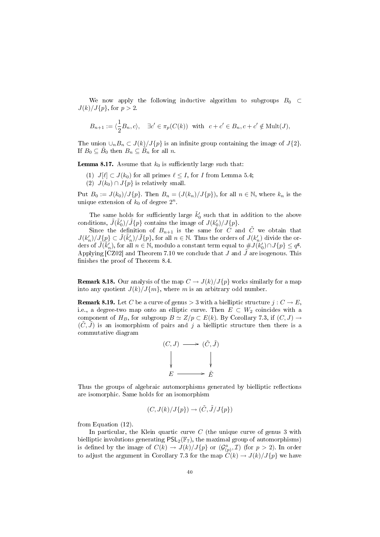We now apply the following inductive algorithm to subgroups  $B_0 \subset$  $J(k)/J\{p\}$ , for  $p > 2$ .

$$
B_{n+1} := \langle \frac{1}{2} B_n, c \rangle, \quad \exists c' \in \pi_p(C(k)) \text{ with } c + c' \in B_n, c + c' \notin \text{Mult}(J),
$$

The union  $\bigcup_n B_n \subset J(k)/J\{p\}$  is an infinite group containing the image of  $J\{2\}$ . If  $B_0 \subseteq \tilde{B}_0$  then  $B_n \subseteq \tilde{B}_n$  for all n.

**Lemma 8.17.** Assume that  $k_0$  is sufficiently large such that:

(1)  $J[\ell] \subset J(k_0)$  for all primes  $\ell \leq I$ , for I from Lemma 5.4; (2)  $J(k_0) \cap J\{p\}$  is relatively small.

Put  $B_0 := J(k_0)/J\{p\}$ . Then  $B_n = (J(k_n)/J\{p\})$ , for all  $n \in \mathbb{N}$ , where  $k_n$  is the unique extension of  $k_0$  of degree  $2^n$ .

The same holds for sufficiently large  $\tilde{k}'_0$  such that in addition to the above conditions,  $\tilde{J}(\tilde{k}'_0)/\tilde{J}\{p\}$  contains the image of  $J(k'_0)/J\{p\}$ .

Since the definition of  $B_{n+1}$  is the same for C and  $\tilde{C}$  we obtain that  $J(k'_n)/J\llcorner\Omega\llcorner\tilde{J}(\tilde{k}'_n)/\tilde{J}\llcorner\rho\rrbracket,$  for all  $n\in\mathbb{N}.$  Thus the orders of  $J(k'_n)$  divide the orders of  $\widetilde{J}(\widetilde{k}'_n)$ , for all  $n \in \mathbb{N}$ , modulo a constant term equal to  $\# J(k'_0) \cap J\{p\} \leq q^{\mathsf{g}}$ . Applying [CZ02] and Theorem 7.10 we conclude that  $J$  and  $\tilde{J}$  are isogenous. This finishes the proof of Theorem 8.4.

**Remark 8.18.** Our analysis of the map  $C \to J(k)/J\{p\}$  works similarly for a map into any quotient  $J(k)/J\{m\}$ , where m is an arbitrary odd number.

**Remark 8.19.** Let C be a curve of genus  $>$  3 with a bielliptic structure  $j: C \rightarrow E$ , i.e., a degree-two map onto an elliptic curve. Then  $E \subset W_2$  coincides with a component of  $H_B$ , for subgroup  $B \simeq Z/p \subset E(k)$ . By Corollary 7.3, if  $(C, J) \rightarrow$  $(C, J)$  is an isomorphism of pairs and j a bielliptic structure then there is a commutative diagram



Thus the groups of algebraic automorphisms generated by bielliptic reflections are isomorphic. Same holds for an isomorphism

$$
(C, J(k)/J\{p\}) \to (\tilde{C}, \tilde{J}/J\{p\})
$$

from Equation (12).

In particular, the Klein quartic curve  $C$  (the unique curve of genus 3 with bielliptic involutions generating  $PSL_2(\mathbb{F}_7)$ , the maximal group of automorphisms) is defined by the image of  $C(k) \to J(k)/J(p)$  or  $(\mathcal{G}^a_{(p)}, \mathcal{I})$  (for  $p > 2$ ). In order to adjust the argument in Corollary 7.3 for the map  $\tilde{C}(k) \to J(k)/J(p)$  we have